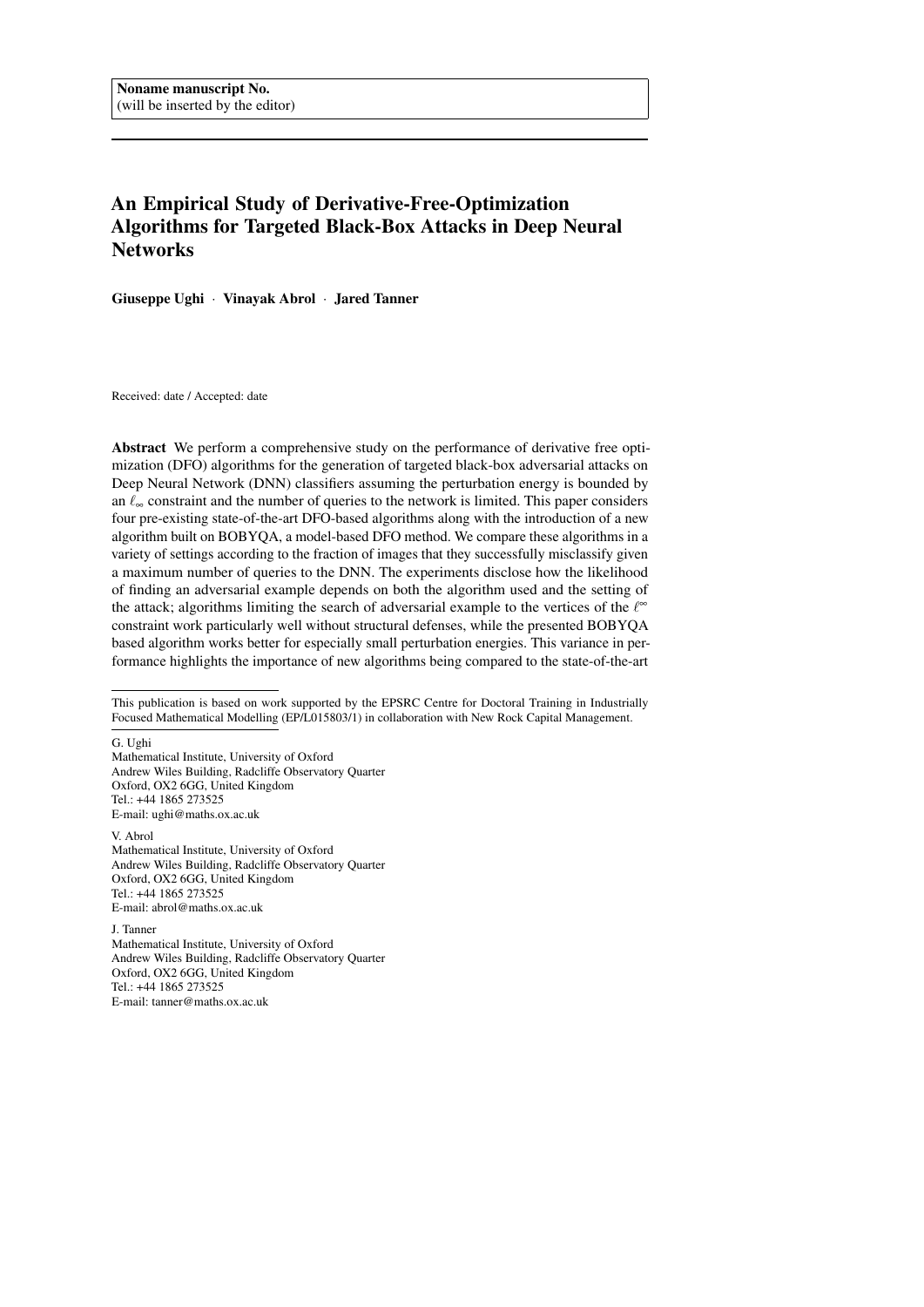# An Empirical Study of Derivative-Free-Optimization Algorithms for Targeted Black-Box Attacks in Deep Neural **Networks**

Giuseppe Ughi · Vinayak Abrol · Jared Tanner

Received: date / Accepted: date

Abstract We perform a comprehensive study on the performance of derivative free optimization (DFO) algorithms for the generation of targeted black-box adversarial attacks on Deep Neural Network (DNN) classifiers assuming the perturbation energy is bounded by an  $\ell_{\infty}$  constraint and the number of queries to the network is limited. This paper considers four pre-existing state-of-the-art DFO-based algorithms along with the introduction of a new algorithm built on BOBYQA, a model-based DFO method. We compare these algorithms in a variety of settings according to the fraction of images that they successfully misclassify given a maximum number of queries to the DNN. The experiments disclose how the likelihood of finding an adversarial example depends on both the algorithm used and the setting of the attack; algorithms limiting the search of adversarial example to the vertices of the  $\ell^{\infty}$ constraint work particularly well without structural defenses, while the presented BOBYQA based algorithm works better for especially small perturbation energies. This variance in performance highlights the importance of new algorithms being compared to the state-of-the-art

G. Ughi

Mathematical Institute, University of Oxford Andrew Wiles Building, Radcliffe Observatory Quarter Oxford, OX2 6GG, United Kingdom Tel.: +44 1865 273525 E-mail: ughi@maths.ox.ac.uk

V. Abrol Mathematical Institute, University of Oxford Andrew Wiles Building, Radcliffe Observatory Quarter Oxford, OX2 6GG, United Kingdom Tel.: +44 1865 273525 E-mail: abrol@maths.ox.ac.uk

J. Tanner Mathematical Institute, University of Oxford Andrew Wiles Building, Radcliffe Observatory Quarter Oxford, OX2 6GG, United Kingdom Tel.: +44 1865 273525 E-mail: tanner@maths.ox.ac.uk

This publication is based on work supported by the EPSRC Centre for Doctoral Training in Industrially Focused Mathematical Modelling (EP/L015803/1) in collaboration with New Rock Capital Management.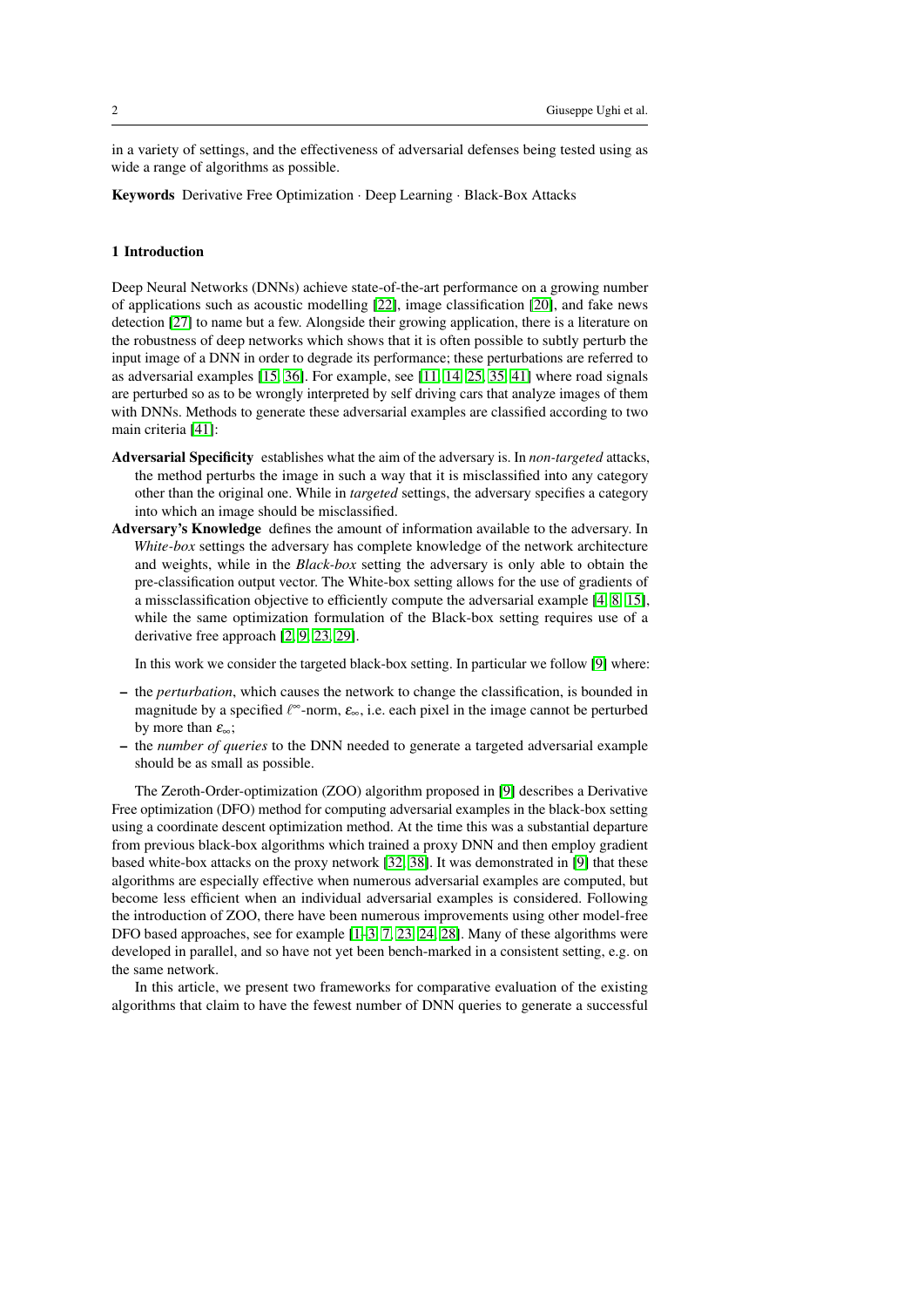in a variety of settings, and the effectiveness of adversarial defenses being tested using as wide a range of algorithms as possible.

Keywords Derivative Free Optimization · Deep Learning · Black-Box Attacks

# 1 Introduction

Deep Neural Networks (DNNs) achieve state-of-the-art performance on a growing number of applications such as acoustic modelling [\[22\]](#page-19-0), image classification [\[20\]](#page-19-1), and fake news detection [\[27\]](#page-19-2) to name but a few. Alongside their growing application, there is a literature on the robustness of deep networks which shows that it is often possible to subtly perturb the input image of a DNN in order to degrade its performance; these perturbations are referred to as adversarial examples [\[15,](#page-18-0) [36\]](#page-20-0). For example, see [\[11,](#page-18-1) [14,](#page-18-2) [25,](#page-19-3) [35,](#page-20-1) [41\]](#page-20-2) where road signals are perturbed so as to be wrongly interpreted by self driving cars that analyze images of them with DNNs. Methods to generate these adversarial examples are classified according to two main criteria [\[41\]](#page-20-2):

- Adversarial Specificity establishes what the aim of the adversary is. In *non-targeted* attacks, the method perturbs the image in such a way that it is misclassified into any category other than the original one. While in *targeted* settings, the adversary specifies a category into which an image should be misclassified.
- Adversary's Knowledge defines the amount of information available to the adversary. In *White-box* settings the adversary has complete knowledge of the network architecture and weights, while in the *Black-box* setting the adversary is only able to obtain the pre-classification output vector. The White-box setting allows for the use of gradients of a missclassification objective to efficiently compute the adversarial example [\[4,](#page-18-3) [8,](#page-18-4) [15\]](#page-18-0), while the same optimization formulation of the Black-box setting requires use of a derivative free approach [\[2,](#page-18-5) [9,](#page-18-6) [23,](#page-19-4) [29\]](#page-19-5).

In this work we consider the targeted black-box setting. In particular we follow [\[9\]](#page-18-6) where:

- the *perturbation*, which causes the network to change the classification, is bounded in magnitude by a specified  $\ell^{\infty}$ -norm,  $\varepsilon_{\infty}$ , i.e. each pixel in the image cannot be perturbed by more than  $\varepsilon_{\infty}$ ;
- the *number of queries* to the DNN needed to generate a targeted adversarial example should be as small as possible.

The Zeroth-Order-optimization (ZOO) algorithm proposed in [\[9\]](#page-18-6) describes a Derivative Free optimization (DFO) method for computing adversarial examples in the black-box setting using a coordinate descent optimization method. At the time this was a substantial departure from previous black-box algorithms which trained a proxy DNN and then employ gradient based white-box attacks on the proxy network [\[32,](#page-19-6) [38\]](#page-20-3). It was demonstrated in [\[9\]](#page-18-6) that these algorithms are especially effective when numerous adversarial examples are computed, but become less efficient when an individual adversarial examples is considered. Following the introduction of ZOO, there have been numerous improvements using other model-free DFO based approaches, see for example [\[1–](#page-18-7)[3,](#page-18-8) [7,](#page-18-9) [23,](#page-19-4) [24,](#page-19-7) [28\]](#page-19-8). Many of these algorithms were developed in parallel, and so have not yet been bench-marked in a consistent setting, e.g. on the same network.

In this article, we present two frameworks for comparative evaluation of the existing algorithms that claim to have the fewest number of DNN queries to generate a successful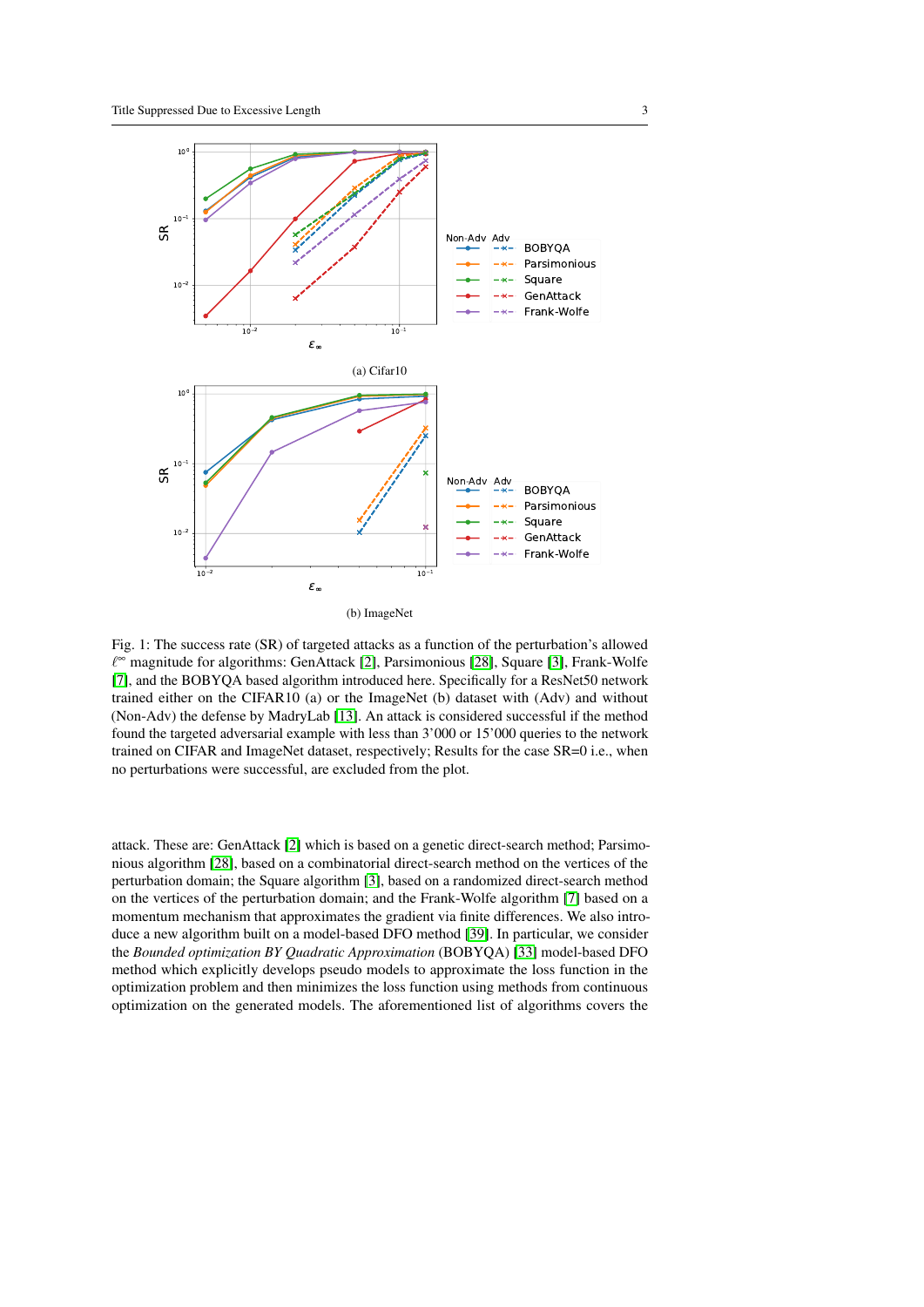<span id="page-2-0"></span>

Fig. 1: The success rate (SR) of targeted attacks as a function of the perturbation's allowed ` <sup>∞</sup> magnitude for algorithms: GenAttack [\[2\]](#page-18-5), Parsimonious [\[28\]](#page-19-8), Square [\[3\]](#page-18-8), Frank-Wolfe [\[7\]](#page-18-9), and the BOBYQA based algorithm introduced here. Specifically for a ResNet50 network trained either on the CIFAR10 (a) or the ImageNet (b) dataset with (Adv) and without (Non-Adv) the defense by MadryLab [\[13\]](#page-18-10). An attack is considered successful if the method found the targeted adversarial example with less than 3'000 or 15'000 queries to the network trained on CIFAR and ImageNet dataset, respectively; Results for the case SR=0 i.e., when no perturbations were successful, are excluded from the plot.

attack. These are: GenAttack [\[2\]](#page-18-5) which is based on a genetic direct-search method; Parsimonious algorithm [\[28\]](#page-19-8), based on a combinatorial direct-search method on the vertices of the perturbation domain; the Square algorithm [\[3\]](#page-18-8), based on a randomized direct-search method on the vertices of the perturbation domain; and the Frank-Wolfe algorithm [\[7\]](#page-18-9) based on a momentum mechanism that approximates the gradient via finite differences. We also introduce a new algorithm built on a model-based DFO method [\[39\]](#page-20-4). In particular, we consider the *Bounded optimization BY Quadratic Approximation* (BOBYQA) [\[33\]](#page-20-5) model-based DFO method which explicitly develops pseudo models to approximate the loss function in the optimization problem and then minimizes the loss function using methods from continuous optimization on the generated models. The aforementioned list of algorithms covers the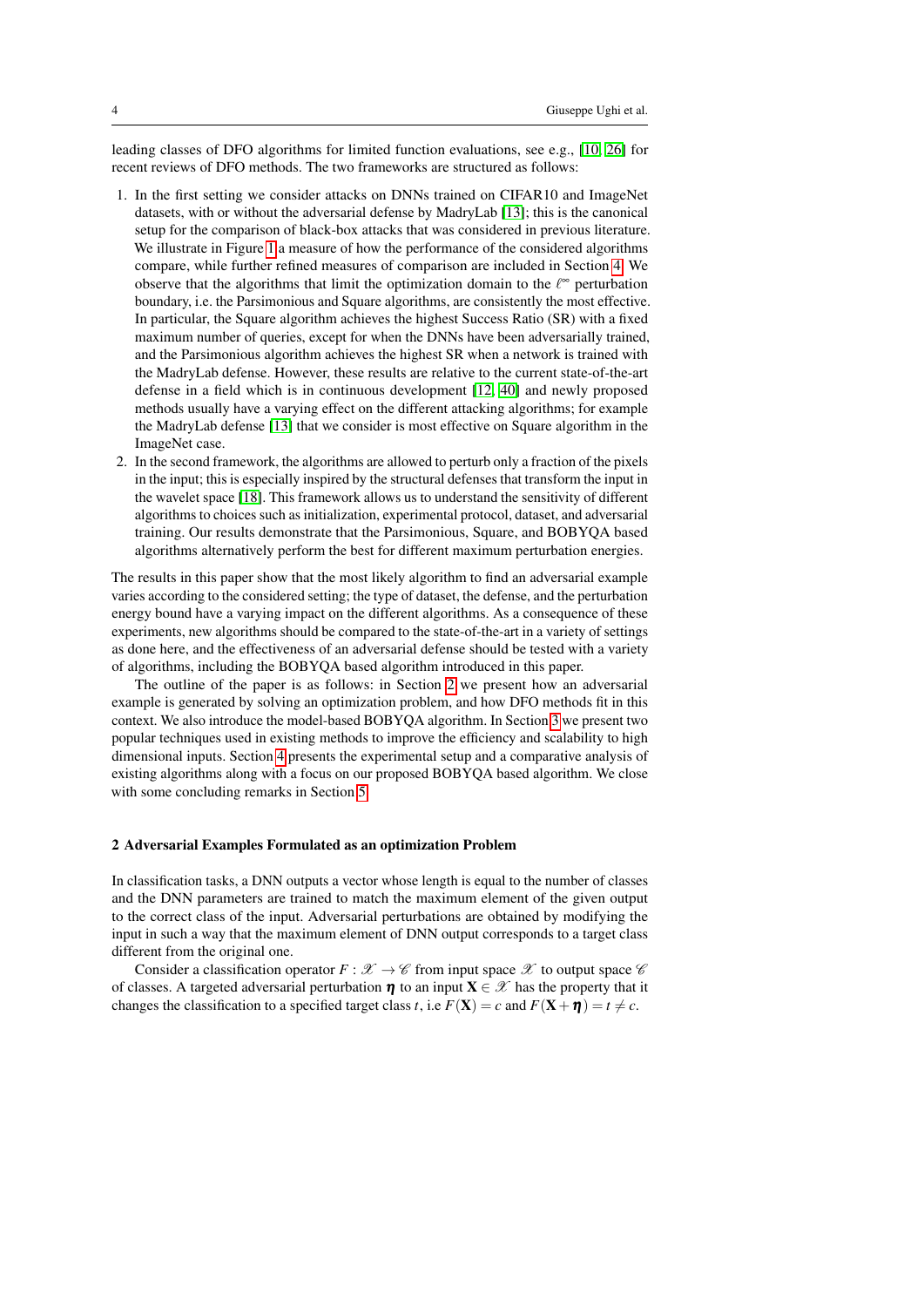leading classes of DFO algorithms for limited function evaluations, see e.g., [\[10,](#page-18-11) [26\]](#page-19-9) for recent reviews of DFO methods. The two frameworks are structured as follows:

- 1. In the first setting we consider attacks on DNNs trained on CIFAR10 and ImageNet datasets, with or without the adversarial defense by MadryLab [\[13\]](#page-18-10); this is the canonical setup for the comparison of black-box attacks that was considered in previous literature. We illustrate in Figure [1](#page-2-0) a measure of how the performance of the considered algorithms compare, while further refined measures of comparison are included in Section [4.](#page-11-0) We observe that the algorithms that limit the optimization domain to the  $\ell^{\infty}$  perturbation boundary, i.e. the Parsimonious and Square algorithms, are consistently the most effective. In particular, the Square algorithm achieves the highest Success Ratio (SR) with a fixed maximum number of queries, except for when the DNNs have been adversarially trained, and the Parsimonious algorithm achieves the highest SR when a network is trained with the MadryLab defense. However, these results are relative to the current state-of-the-art defense in a field which is in continuous development [\[12,](#page-18-12) [40\]](#page-20-6) and newly proposed methods usually have a varying effect on the different attacking algorithms; for example the MadryLab defense [\[13\]](#page-18-10) that we consider is most effective on Square algorithm in the ImageNet case.
- 2. In the second framework, the algorithms are allowed to perturb only a fraction of the pixels in the input; this is especially inspired by the structural defenses that transform the input in the wavelet space [\[18\]](#page-19-10). This framework allows us to understand the sensitivity of different algorithms to choices such as initialization, experimental protocol, dataset, and adversarial training. Our results demonstrate that the Parsimonious, Square, and BOBYQA based algorithms alternatively perform the best for different maximum perturbation energies.

The results in this paper show that the most likely algorithm to find an adversarial example varies according to the considered setting; the type of dataset, the defense, and the perturbation energy bound have a varying impact on the different algorithms. As a consequence of these experiments, new algorithms should be compared to the state-of-the-art in a variety of settings as done here, and the effectiveness of an adversarial defense should be tested with a variety of algorithms, including the BOBYQA based algorithm introduced in this paper.

The outline of the paper is as follows: in Section [2](#page-3-0) we present how an adversarial example is generated by solving an optimization problem, and how DFO methods fit in this context. We also introduce the model-based BOBYQA algorithm. In Section [3](#page-6-0) we present two popular techniques used in existing methods to improve the efficiency and scalability to high dimensional inputs. Section [4](#page-11-0) presents the experimental setup and a comparative analysis of existing algorithms along with a focus on our proposed BOBYQA based algorithm. We close with some concluding remarks in Section [5.](#page-16-0)

### <span id="page-3-0"></span>2 Adversarial Examples Formulated as an optimization Problem

In classification tasks, a DNN outputs a vector whose length is equal to the number of classes and the DNN parameters are trained to match the maximum element of the given output to the correct class of the input. Adversarial perturbations are obtained by modifying the input in such a way that the maximum element of DNN output corresponds to a target class different from the original one.

Consider a classification operator  $F: \mathcal{X} \to \mathcal{C}$  from input space  $\mathcal{X}$  to output space  $\mathcal{C}$ of classes. A targeted adversarial perturbation  $\eta$  to an input  $X \in \mathcal{X}$  has the property that it changes the classification to a specified target class *t*, i.e  $F(\mathbf{X}) = c$  and  $F(\mathbf{X} + \boldsymbol{\eta}) = t \neq c$ .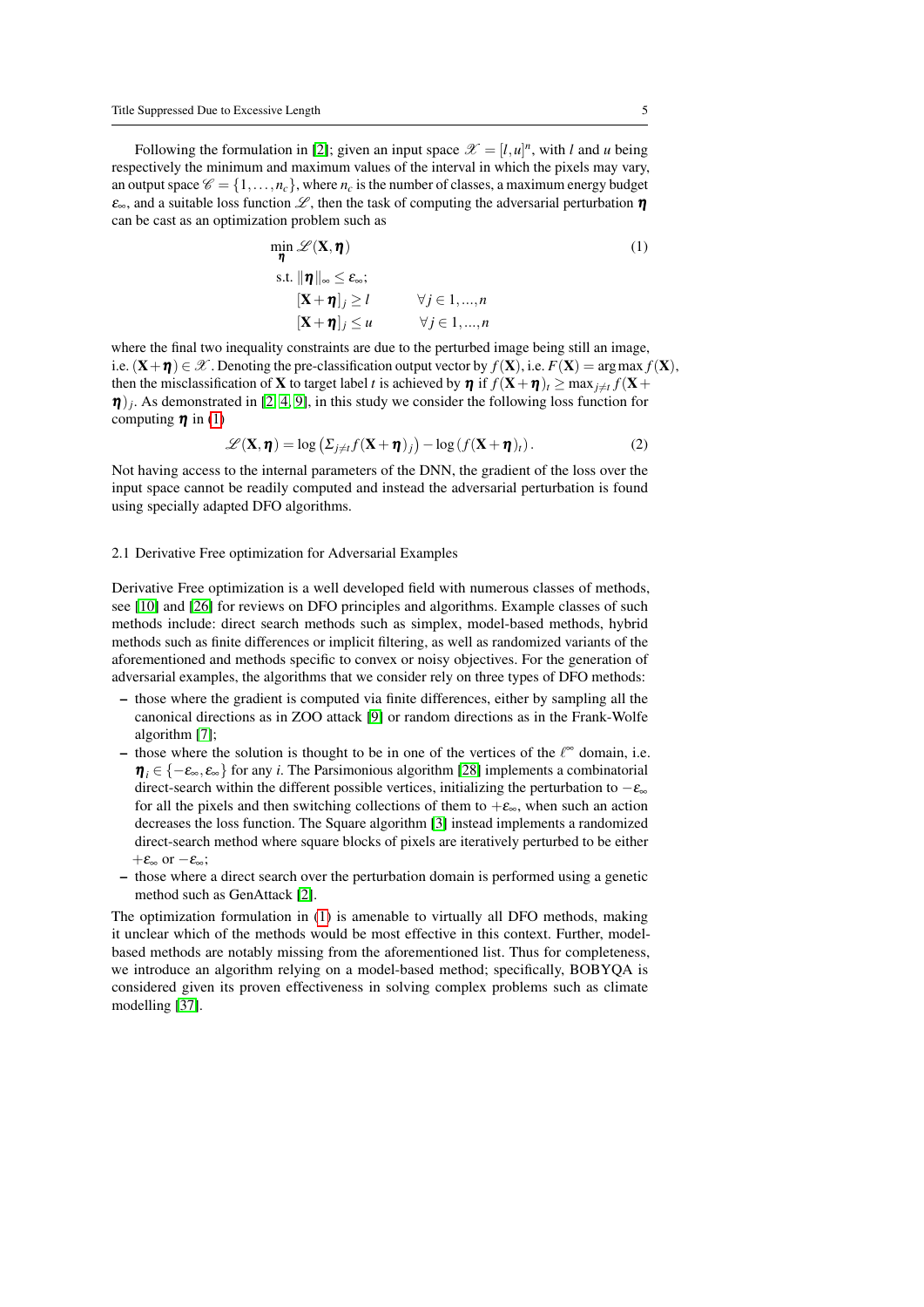Following the formulation in [\[2\]](#page-18-5); given an input space  $\mathscr{X} = [l, u]^n$ , with *l* and *u* being respectively the minimum and maximum values of the interval in which the pixels may vary, an output space  $\mathcal{C} = \{1, \ldots, n_c\}$ , where  $n_c$  is the number of classes, a maximum energy budget  $\varepsilon_{\infty}$ , and a suitable loss function  $\mathscr{L}$ , then the task of computing the adversarial perturbation  $\eta$ can be cast as an optimization problem such as

<span id="page-4-0"></span>
$$
\min_{\eta} \mathcal{L}(\mathbf{X}, \eta) \tag{1}
$$
\n
$$
\text{s.t. } \|\eta\|_{\infty} \le \varepsilon_{\infty};
$$
\n
$$
[\mathbf{X} + \eta]_{j} \ge l \qquad \forall j \in 1, ..., n
$$
\n
$$
[\mathbf{X} + \eta]_{j} \le u \qquad \forall j \in 1, ..., n
$$

where the final two inequality constraints are due to the perturbed image being still an image, i.e.  $(X+\eta) \in \mathscr{X}$ . Denoting the pre-classification output vector by  $f(X)$ , i.e.  $F(X) = \arg \max f(X)$ , then the misclassification of **X** to target label *t* is achieved by  $\eta$  if  $f(\mathbf{X} + \eta)$ <sub>*t*</sub>  $\geq \max_{j \neq t} f(\mathbf{X} + \eta)$  $\eta$ )<sub>j</sub>. As demonstrated in [\[2,](#page-18-5) [4,](#page-18-3) [9\]](#page-18-6), in this study we consider the following loss function for computing  $\eta$  in [\(1\)](#page-4-0)

<span id="page-4-1"></span>
$$
\mathcal{L}(\mathbf{X}, \boldsymbol{\eta}) = \log \left( \Sigma_{j \neq t} f(\mathbf{X} + \boldsymbol{\eta})_j \right) - \log \left( f(\mathbf{X} + \boldsymbol{\eta})_t \right). \tag{2}
$$

Not having access to the internal parameters of the DNN, the gradient of the loss over the input space cannot be readily computed and instead the adversarial perturbation is found using specially adapted DFO algorithms.

#### 2.1 Derivative Free optimization for Adversarial Examples

Derivative Free optimization is a well developed field with numerous classes of methods, see [\[10\]](#page-18-11) and [\[26\]](#page-19-9) for reviews on DFO principles and algorithms. Example classes of such methods include: direct search methods such as simplex, model-based methods, hybrid methods such as finite differences or implicit filtering, as well as randomized variants of the aforementioned and methods specific to convex or noisy objectives. For the generation of adversarial examples, the algorithms that we consider rely on three types of DFO methods:

- those where the gradient is computed via finite differences, either by sampling all the canonical directions as in ZOO attack [\[9\]](#page-18-6) or random directions as in the Frank-Wolfe algorithm [\[7\]](#page-18-9);
- those where the solution is thought to be in one of the vertices of the  $\ell^{\infty}$  domain, i.e.  $\eta_i \in \{-\varepsilon_\infty, \varepsilon_\infty\}$  for any *i*. The Parsimonious algorithm [\[28\]](#page-19-8) implements a combinatorial direct-search within the different possible vertices, initializing the perturbation to  $-\varepsilon_{\infty}$ for all the pixels and then switching collections of them to  $+\varepsilon_{\infty}$ , when such an action decreases the loss function. The Square algorithm [\[3\]](#page-18-8) instead implements a randomized direct-search method where square blocks of pixels are iteratively perturbed to be either  $+\varepsilon_{\infty}$  or  $-\varepsilon_{\infty}$ ;
- those where a direct search over the perturbation domain is performed using a genetic method such as GenAttack [\[2\]](#page-18-5).

The optimization formulation in [\(1\)](#page-4-0) is amenable to virtually all DFO methods, making it unclear which of the methods would be most effective in this context. Further, modelbased methods are notably missing from the aforementioned list. Thus for completeness, we introduce an algorithm relying on a model-based method; specifically, BOBYQA is considered given its proven effectiveness in solving complex problems such as climate modelling [\[37\]](#page-20-7).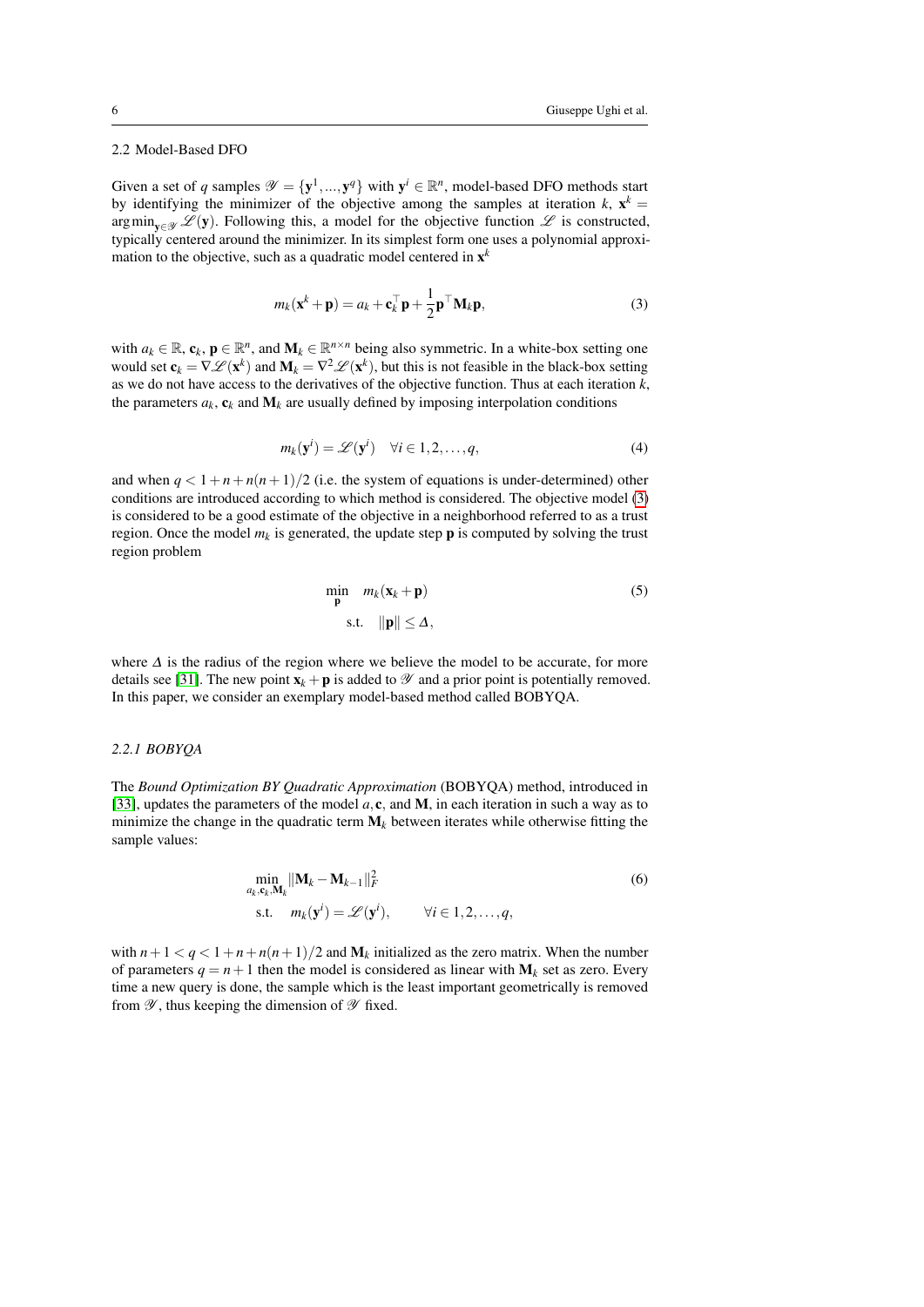# 2.2 Model-Based DFO

Given a set of *q* samples  $\mathscr{Y} = {\mathbf{y}^1, ..., \mathbf{y}^q}$  with  $\mathbf{y}^i \in \mathbb{R}^n$ , model-based DFO methods start by identifying the minimizer of the objective among the samples at iteration  $k$ ,  $\mathbf{x}^k =$  $\arg\min_{\mathbf{v}\in\mathcal{Y}}\mathcal{L}(\mathbf{y})$ . Following this, a model for the objective function  $\mathcal{L}$  is constructed, typically centered around the minimizer. In its simplest form one uses a polynomial approximation to the objective, such as a quadratic model centered in  $x^k$ 

<span id="page-5-0"></span>
$$
m_k(\mathbf{x}^k + \mathbf{p}) = a_k + \mathbf{c}_k^{\top} \mathbf{p} + \frac{1}{2} \mathbf{p}^{\top} \mathbf{M}_k \mathbf{p},
$$
\n(3)

with  $a_k \in \mathbb{R}$ ,  $\mathbf{c}_k$ ,  $\mathbf{p} \in \mathbb{R}^n$ , and  $\mathbf{M}_k \in \mathbb{R}^{n \times n}$  being also symmetric. In a white-box setting one would set  $c_k = \nabla \mathcal{L}(\mathbf{x}^k)$  and  $\mathbf{M}_k = \nabla^2 \mathcal{L}(\mathbf{x}^k)$ , but this is not feasible in the black-box setting as we do not have access to the derivatives of the objective function. Thus at each iteration  $\vec{k}$ , the parameters  $a_k$ ,  $\mathbf{c}_k$  and  $\mathbf{M}_k$  are usually defined by imposing interpolation conditions

$$
m_k(\mathbf{y}^i) = \mathscr{L}(\mathbf{y}^i) \quad \forall i \in 1, 2, \dots, q,
$$
 (4)

and when  $q < 1 + n + n(n+1)/2$  (i.e. the system of equations is under-determined) other conditions are introduced according to which method is considered. The objective model [\(3\)](#page-5-0) is considered to be a good estimate of the objective in a neighborhood referred to as a trust region. Once the model  $m_k$  is generated, the update step  $\bf{p}$  is computed by solving the trust region problem

$$
\min_{\mathbf{p}} m_k(\mathbf{x}_k + \mathbf{p})
$$
\n
$$
\text{s.t.} \quad \|\mathbf{p}\| \le \Delta,
$$
\n(5)

where ∆ is the radius of the region where we believe the model to be accurate, for more details see [\[31\]](#page-19-11). The new point  $\mathbf{x}_k + \mathbf{p}$  is added to  $\mathcal Y$  and a prior point is potentially removed. In this paper, we consider an exemplary model-based method called BOBYQA.

#### *2.2.1 BOBYQA*

The *Bound Optimization BY Quadratic Approximation* (BOBYQA) method, introduced in [\[33\]](#page-20-5), updates the parameters of the model  $a, c$ , and **M**, in each iteration in such a way as to minimize the change in the quadratic term  $M_k$  between iterates while otherwise fitting the sample values:

<span id="page-5-1"></span>
$$
\min_{a_k, \mathbf{c}_k, \mathbf{M}_k} \|\mathbf{M}_k - \mathbf{M}_{k-1}\|_F^2
$$
\n
$$
\text{s.t.} \quad m_k(\mathbf{y}^i) = \mathcal{L}(\mathbf{y}^i), \qquad \forall i \in 1, 2, \dots, q,
$$
\n
$$
(6)
$$

with  $n+1 < q < 1+n+n(n+1)/2$  and  $M_k$  initialized as the zero matrix. When the number of parameters  $q = n + 1$  then the model is considered as linear with  $M_k$  set as zero. Every time a new query is done, the sample which is the least important geometrically is removed from  $\mathscr Y$ , thus keeping the dimension of  $\mathscr Y$  fixed.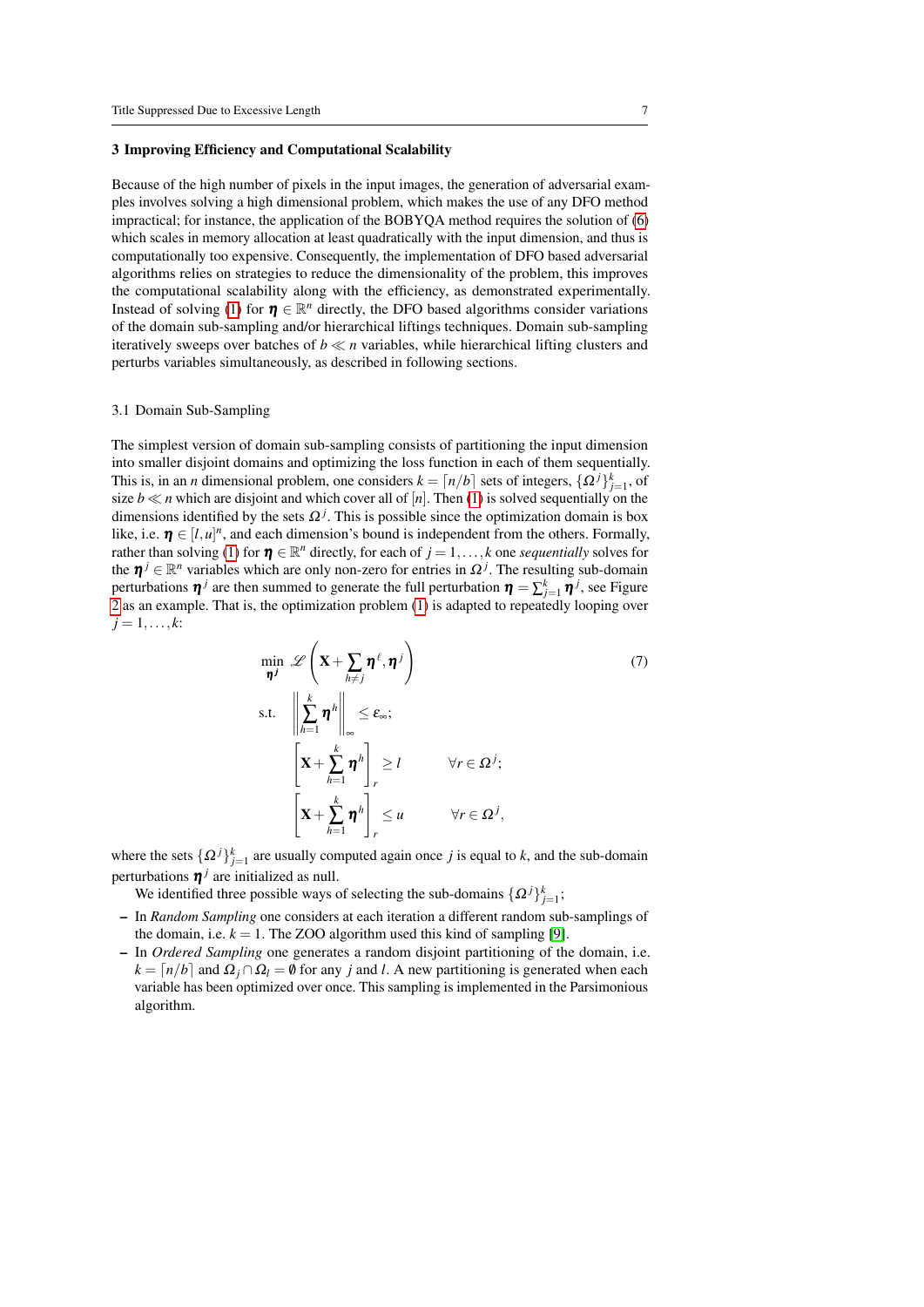#### <span id="page-6-0"></span>3 Improving Efficiency and Computational Scalability

Because of the high number of pixels in the input images, the generation of adversarial examples involves solving a high dimensional problem, which makes the use of any DFO method impractical; for instance, the application of the BOBYQA method requires the solution of [\(6\)](#page-5-1) which scales in memory allocation at least quadratically with the input dimension, and thus is computationally too expensive. Consequently, the implementation of DFO based adversarial algorithms relies on strategies to reduce the dimensionality of the problem, this improves the computational scalability along with the efficiency, as demonstrated experimentally. Instead of solving [\(1\)](#page-4-0) for  $\boldsymbol{\eta} \in \mathbb{R}^n$  directly, the DFO based algorithms consider variations of the domain sub-sampling and/or hierarchical liftings techniques. Domain sub-sampling iteratively sweeps over batches of  $b \ll n$  variables, while hierarchical lifting clusters and perturbs variables simultaneously, as described in following sections.

# 3.1 Domain Sub-Sampling

The simplest version of domain sub-sampling consists of partitioning the input dimension into smaller disjoint domains and optimizing the loss function in each of them sequentially. This is, in an *n* dimensional problem, one considers  $k = \lfloor n/b \rfloor$  sets of integers,  $\{\Omega^j\}_{j=1}^k$ , of size  $b \ll n$  which are disjoint and which cover all of  $[n]$ . Then [\(1\)](#page-4-0) is solved sequentially on the dimensions identified by the sets  $\Omega^j$ . This is possible since the optimization domain is box like, i.e.  $\eta \in [l, u]^n$ , and each dimension's bound is independent from the others. Formally, rather than solving [\(1\)](#page-4-0) for  $\boldsymbol{\eta} \in \mathbb{R}^n$  directly, for each of  $j = 1, ..., k$  one *sequentially* solves for the  $\boldsymbol{\eta}^j \in \mathbb{R}^n$  variables which are only non-zero for entries in  $\Omega^j$ . The resulting sub-domain perturbations  $\pmb{\eta}^j$  are then summed to generate the full perturbation  $\pmb{\eta} = \sum_{j=1}^k \pmb{\eta}^j$ , see Figure [2](#page-7-0) as an example. That is, the optimization problem [\(1\)](#page-4-0) is adapted to repeatedly looping over  $j = 1, \ldots, k$ :

$$
\min_{\boldsymbol{\eta}^j} \mathscr{L}\left(\mathbf{X} + \sum_{h \neq j} \boldsymbol{\eta}^\ell, \boldsymbol{\eta}^j\right) \tag{7}
$$
\n
$$
\text{s.t.} \quad \left\| \sum_{h=1}^k \boldsymbol{\eta}^h \right\|_{\infty} \le \varepsilon_{\infty};
$$
\n
$$
\left[\mathbf{X} + \sum_{h=1}^k \boldsymbol{\eta}^h\right]_r \ge l \qquad \forall r \in \Omega^j;
$$
\n
$$
\left[\mathbf{X} + \sum_{h=1}^k \boldsymbol{\eta}^h\right]_r \le u \qquad \forall r \in \Omega^j,
$$

where the sets  $\{\Omega^j\}_{j=1}^k$  are usually computed again once *j* is equal to *k*, and the sub-domain perturbations  $\eta^j$  are initialized as null.

We identified three possible ways of selecting the sub-domains  $\{\Omega^j\}_{j=1}^k$ ;

- In *Random Sampling* one considers at each iteration a different random sub-samplings of the domain, i.e.  $k = 1$ . The ZOO algorithm used this kind of sampling [\[9\]](#page-18-6).
- In *Ordered Sampling* one generates a random disjoint partitioning of the domain, i.e.  $k = \lfloor n/b \rfloor$  and  $\Omega_i \cap \Omega_l = \emptyset$  for any *j* and *l*. A new partitioning is generated when each variable has been optimized over once. This sampling is implemented in the Parsimonious algorithm.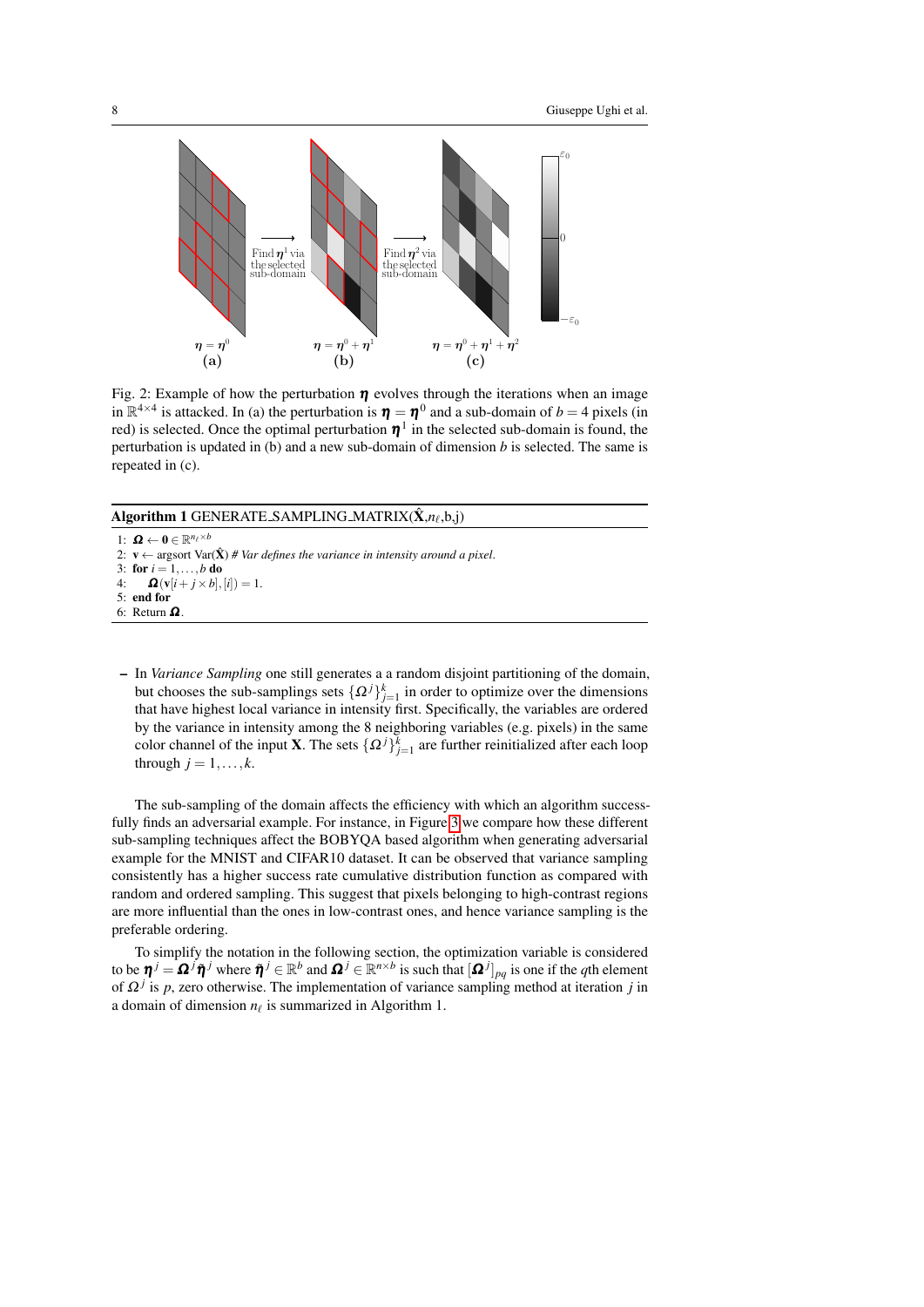<span id="page-7-0"></span>

Fig. 2: Example of how the perturbation  $\eta$  evolves through the iterations when an image in  $\mathbb{R}^{4\times4}$  is attacked. In (a) the perturbation is  $\eta = \eta^0$  and a sub-domain of  $b = 4$  pixels (in red) is selected. Once the optimal perturbation  $\eta^1$  in the selected sub-domain is found, the perturbation is updated in (b) and a new sub-domain of dimension *b* is selected. The same is repeated in (c).

Algorithm 1 GENERATE<sub>-</sub>SAMPLING<sub>-</sub>MATRIX $(\hat{\mathbf{X}}, n_\ell, \mathbf{b}, \mathbf{j})$ 

1:  $\boldsymbol{\Omega} \leftarrow \mathbf{0} \in \mathbb{R}^{n_{\ell} \times b}$ 2:  $v \leftarrow$  argsort Var( $\hat{X}$ ) # Var defines the variance in intensity around a pixel. 3: for  $i = 1, ..., b$  do<br>4:  $\mathbf{\Omega}(\mathbf{v}[i + j \times b])$ .  $\Omega(\mathbf{v}[i+j\times b],[i]) = 1.$ 5: end for 6: Return Ω .

– In *Variance Sampling* one still generates a a random disjoint partitioning of the domain, but chooses the sub-samplings sets  $\{ \Omega^j \}_{j=1}^k$  in order to optimize over the dimensions that have highest local variance in intensity first. Specifically, the variables are ordered by the variance in intensity among the 8 neighboring variables (e.g. pixels) in the same color channel of the input **X**. The sets  $\{\Omega^j\}_{j=1}^k$  are further reinitialized after each loop through  $j = 1, \ldots, k$ .

The sub-sampling of the domain affects the efficiency with which an algorithm successfully finds an adversarial example. For instance, in Figure [3](#page-8-0) we compare how these different sub-sampling techniques affect the BOBYQA based algorithm when generating adversarial example for the MNIST and CIFAR10 dataset. It can be observed that variance sampling consistently has a higher success rate cumulative distribution function as compared with random and ordered sampling. This suggest that pixels belonging to high-contrast regions are more influential than the ones in low-contrast ones, and hence variance sampling is the preferable ordering.

To simplify the notation in the following section, the optimization variable is considered to be  $\boldsymbol{\eta}^j = \boldsymbol{\Omega}^j \tilde{\boldsymbol{\eta}}^j$  where  $\tilde{\boldsymbol{\eta}}^j \in \mathbb{R}^b$  and  $\boldsymbol{\Omega}^j \in \mathbb{R}^{n \times b}$  is such that  $[\boldsymbol{\Omega}^j]_{pq}$  is one if the *q*th element of  $\Omega^{j}$  is p, zero otherwise. The implementation of variance sampling method at iteration j in a domain of dimension  $n_\ell$  is summarized in Algorithm 1.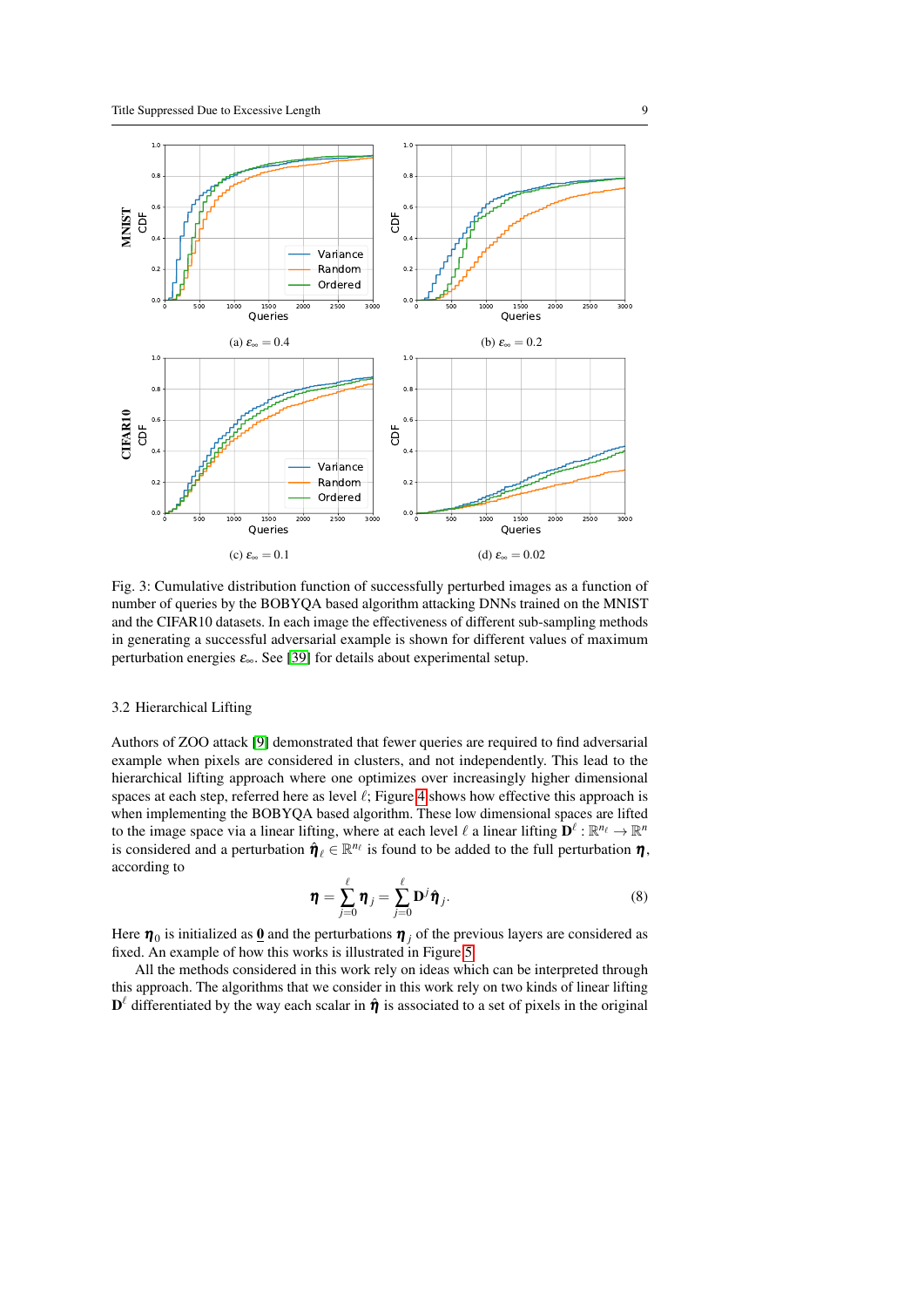<span id="page-8-0"></span>

Fig. 3: Cumulative distribution function of successfully perturbed images as a function of number of queries by the BOBYQA based algorithm attacking DNNs trained on the MNIST and the CIFAR10 datasets. In each image the effectiveness of different sub-sampling methods in generating a successful adversarial example is shown for different values of maximum perturbation energies  $\varepsilon_{\infty}$ . See [\[39\]](#page-20-4) for details about experimental setup.

# <span id="page-8-1"></span>3.2 Hierarchical Lifting

Authors of ZOO attack [\[9\]](#page-18-6) demonstrated that fewer queries are required to find adversarial example when pixels are considered in clusters, and not independently. This lead to the hierarchical lifting approach where one optimizes over increasingly higher dimensional spaces at each step, referred here as level  $\ell$ ; Figure [4](#page-9-0) shows how effective this approach is when implementing the BOBYQA based algorithm. These low dimensional spaces are lifted to the image space via a linear lifting, where at each level  $\ell$  a linear lifting  $\mathbf{D}^{\ell} : \mathbb{R}^{n_{\ell}} \to \mathbb{R}^{n}$ is considered and a perturbation  $\hat{\eta}_{\ell} \in \mathbb{R}^{n_{\ell}}$  is found to be added to the full perturbation  $\eta$ , according to

$$
\boldsymbol{\eta} = \sum_{j=0}^{\ell} \boldsymbol{\eta}_j = \sum_{j=0}^{\ell} \mathbf{D}^j \hat{\boldsymbol{\eta}}_j.
$$
 (8)

Here  $\pmb{\eta}_0$  is initialized as <u>0</u> and the perturbations  $\pmb{\eta}_j$  of the previous layers are considered as fixed. An example of how this works is illustrated in Figure [5.](#page-9-1)

All the methods considered in this work rely on ideas which can be interpreted through this approach. The algorithms that we consider in this work rely on two kinds of linear lifting  $\mathbf{D}^{\ell}$  differentiated by the way each scalar in  $\hat{\boldsymbol{\eta}}$  is associated to a set of pixels in the original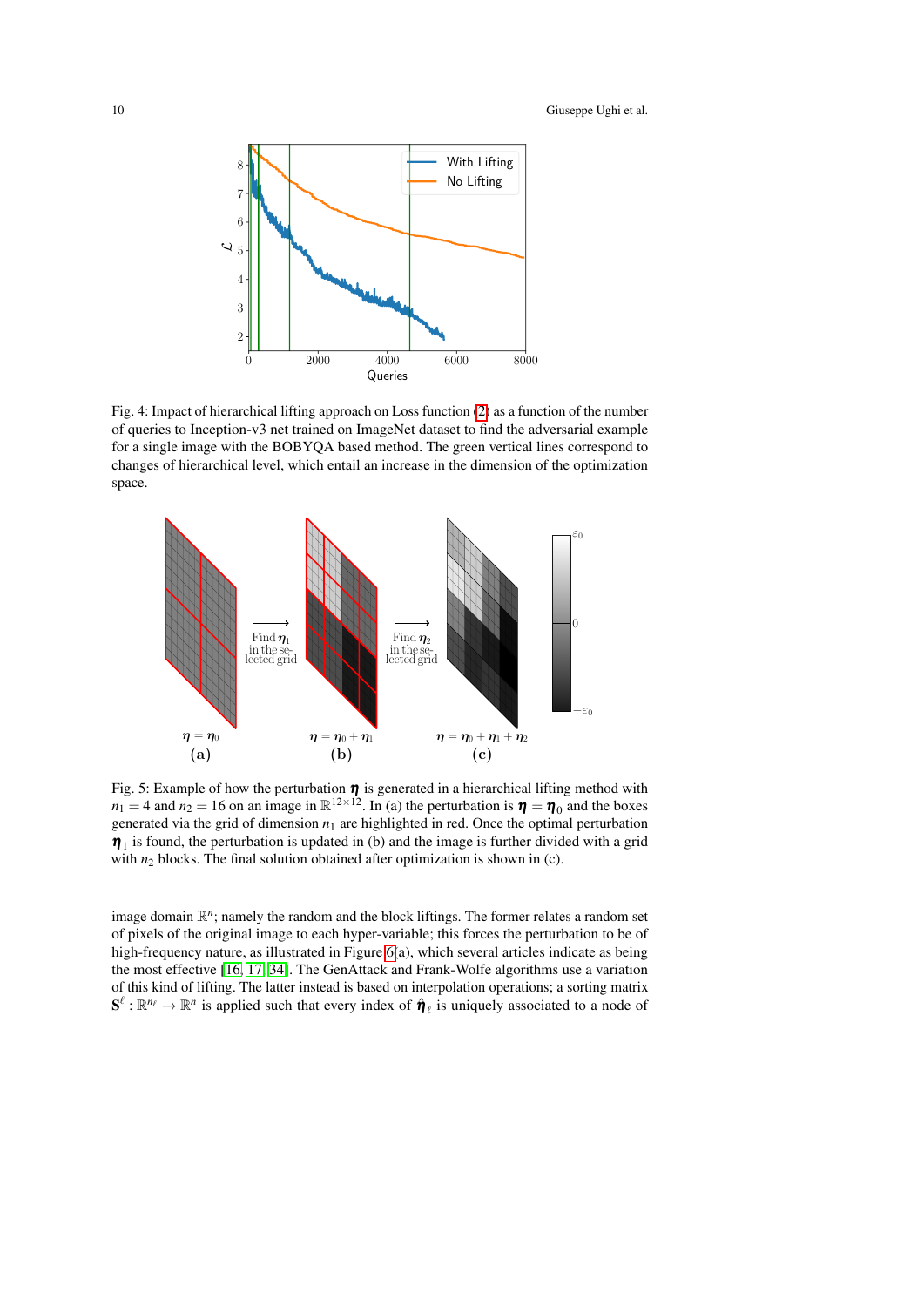<span id="page-9-0"></span>

Fig. 4: Impact of hierarchical lifting approach on Loss function [\(2\)](#page-4-1) as a function of the number of queries to Inception-v3 net trained on ImageNet dataset to find the adversarial example for a single image with the BOBYQA based method. The green vertical lines correspond to changes of hierarchical level, which entail an increase in the dimension of the optimization space.

<span id="page-9-1"></span>

Fig. 5: Example of how the perturbation  $\eta$  is generated in a hierarchical lifting method with  $n_1 = 4$  and  $n_2 = 16$  on an image in  $\mathbb{R}^{12 \times 12}$ . In (a) the perturbation is  $\eta = \eta_0$  and the boxes generated via the grid of dimension  $n_1$  are highlighted in red. Once the optimal perturbation  $\eta_1$  is found, the perturbation is updated in (b) and the image is further divided with a grid with  $n_2$  blocks. The final solution obtained after optimization is shown in (c).

image domain  $\mathbb{R}^n$ ; namely the random and the block liftings. The former relates a random set of pixels of the original image to each hyper-variable; this forces the perturbation to be of high-frequency nature, as illustrated in Figure [6\(](#page-10-0)a), which several articles indicate as being the most effective [\[16,](#page-19-12) [17,](#page-19-13) [34\]](#page-20-8). The GenAttack and Frank-Wolfe algorithms use a variation of this kind of lifting. The latter instead is based on interpolation operations; a sorting matrix  $S^\ell : \mathbb{R}^{n_\ell} \to \mathbb{R}^n$  is applied such that every index of  $\hat{\eta}_\ell$  is uniquely associated to a node of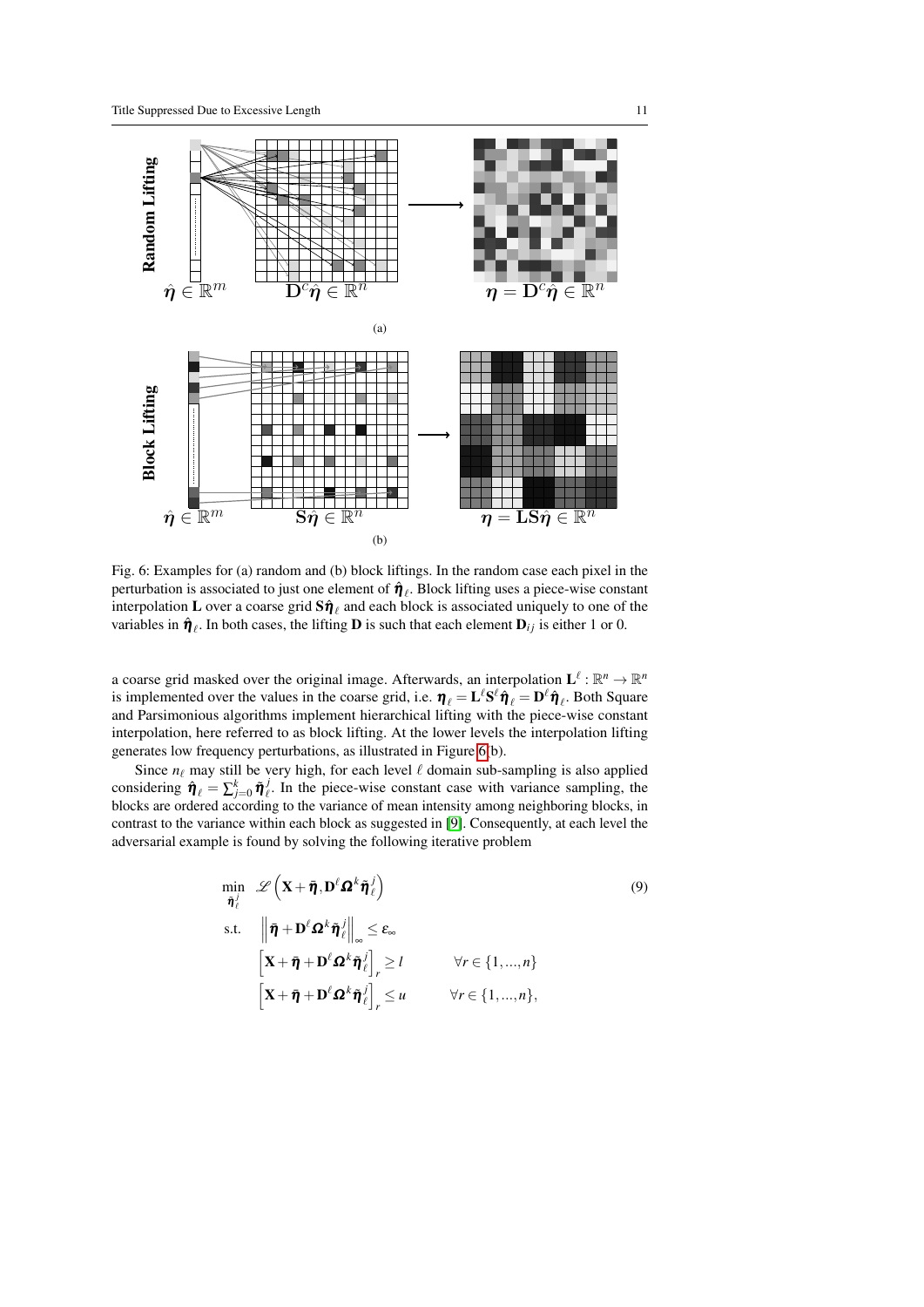<span id="page-10-0"></span>

Fig. 6: Examples for (a) random and (b) block liftings. In the random case each pixel in the perturbation is associated to just one element of  $\hat{\pmb{\eta}}_\ell$ . Block lifting uses a piece-wise constant interpolation **L** over a coarse grid  $\mathbf{S}\hat{\pmb{\eta}}_{\ell}$  and each block is associated uniquely to one of the variables in  $\hat{\pmb{\eta}}_{\ell}$ . In both cases, the lifting **D** is such that each element  $\mathbf{D}_{ij}$  is either 1 or 0.

a coarse grid masked over the original image. Afterwards, an interpolation  $\mathbf{L}^{\ell} : \mathbb{R}^n \to \mathbb{R}^n$ is implemented over the values in the coarse grid, i.e.  $\eta_\ell = L^\ell S^\ell \hat{\eta}_\ell = D^\ell \hat{\eta}_\ell$ . Both Square and Parsimonious algorithms implement hierarchical lifting with the piece-wise constant interpolation, here referred to as block lifting. At the lower levels the interpolation lifting generates low frequency perturbations, as illustrated in Figure [6\(](#page-10-0)b).

Since  $n_\ell$  may still be very high, for each level  $\ell$  domain sub-sampling is also applied considering  $\hat{\pmb{\eta}}_{\ell} = \sum_{j=0}^{k} \tilde{\pmb{\eta}}_{\ell}^{j}$ . In the piece-wise constant case with variance sampling, the blocks are ordered according to the variance of mean intensity among neighboring blocks, in contrast to the variance within each block as suggested in [\[9\]](#page-18-6). Consequently, at each level the adversarial example is found by solving the following iterative problem

<span id="page-10-1"></span>
$$
\min_{\tilde{\boldsymbol{\eta}}_{\ell}^{j}} \mathscr{L}\left(\mathbf{X} + \tilde{\boldsymbol{\eta}}, \mathbf{D}^{\ell} \mathbf{\Omega}^{k} \tilde{\boldsymbol{\eta}}_{\ell}^{j}\right)
$$
\n
$$
\text{s.t.} \quad \left\|\bar{\boldsymbol{\eta}} + \mathbf{D}^{\ell} \mathbf{\Omega}^{k} \tilde{\boldsymbol{\eta}}_{\ell}^{j}\right\|_{\infty} \leq \varepsilon_{\infty}
$$
\n
$$
\left[\mathbf{X} + \bar{\boldsymbol{\eta}} + \mathbf{D}^{\ell} \mathbf{\Omega}^{k} \tilde{\boldsymbol{\eta}}_{\ell}^{j}\right]_{r} \geq l \qquad \forall r \in \{1, ..., n\}
$$
\n
$$
\left[\mathbf{X} + \bar{\boldsymbol{\eta}} + \mathbf{D}^{\ell} \mathbf{\Omega}^{k} \tilde{\boldsymbol{\eta}}_{\ell}^{j}\right]_{r} \leq u \qquad \forall r \in \{1, ..., n\},
$$
\n(9)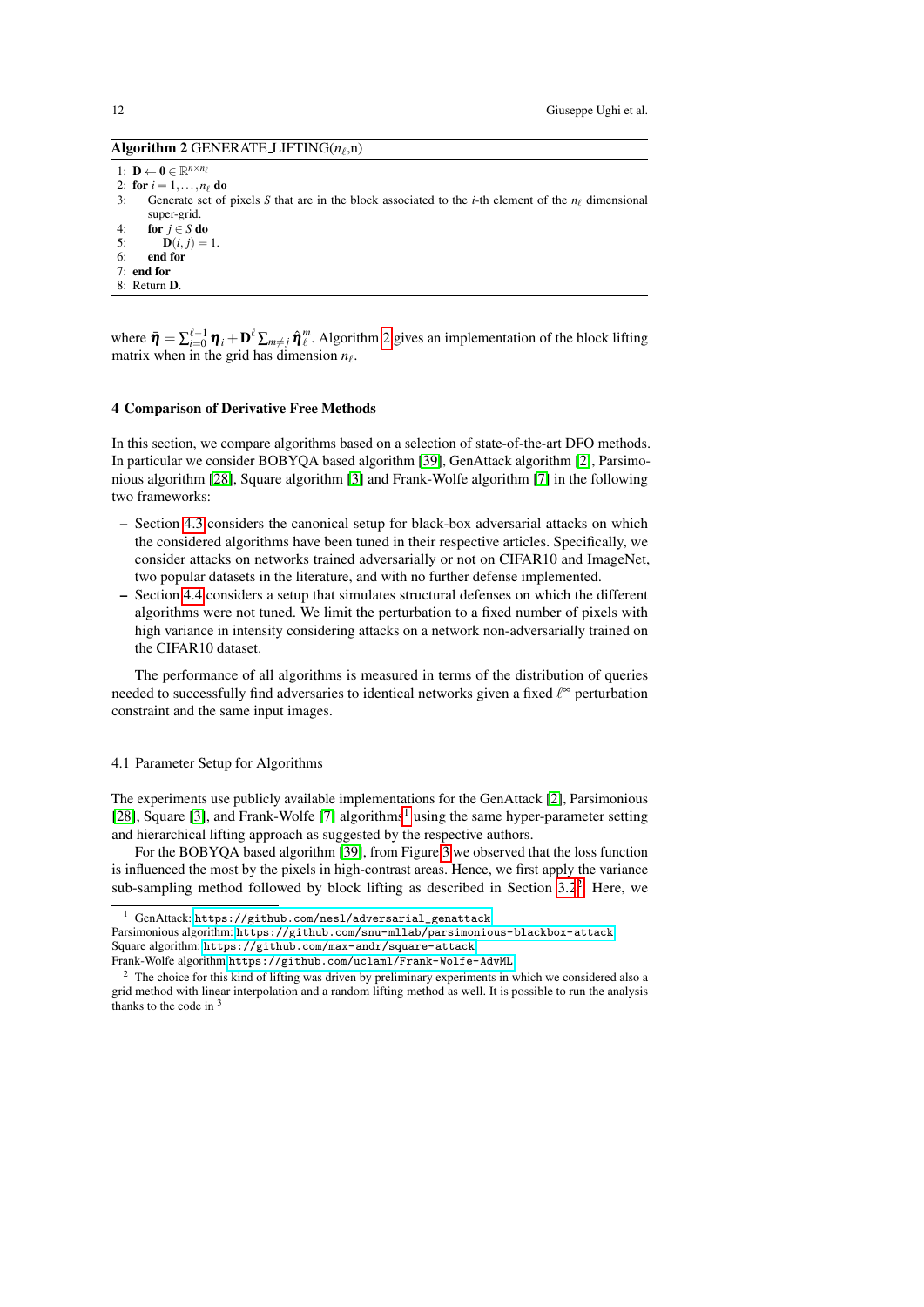# <span id="page-11-1"></span>Algorithm 2 GENERATE\_LIFTING( $n_\ell$ ,n)

1:  $\mathbf{D} \leftarrow \mathbf{0} \in \mathbb{R}^{n \times n_{\ell}}$ 

- 2: **for**  $i = 1, ..., n_\ell$  **do**<br>3: Generate set of
- Generate set of pixels *S* that are in the block associated to the *i*-th element of the  $n_f$  dimensional super-grid.
- 4: for  $j \in S$  do<br>5: D(*i*, *i*) =
- $D(i, j) = 1.$
- 6: end for
- $7<sub>·</sub>$  end for
- 8: Return D.

where  $\bar{\pmb{\eta}} = \sum_{i=0}^{\ell-1} \pmb{\eta}_i + \mathbf{D}^{\ell} \sum_{m \neq j} \hat{\pmb{\eta}}_i^m$ . Algorithm [2](#page-11-1) gives an implementation of the block lifting matrix when in the grid has dimension  $n_\ell$ .

#### <span id="page-11-0"></span>4 Comparison of Derivative Free Methods

In this section, we compare algorithms based on a selection of state-of-the-art DFO methods. In particular we consider BOBYQA based algorithm [\[39\]](#page-20-4), GenAttack algorithm [\[2\]](#page-18-5), Parsimonious algorithm [\[28\]](#page-19-8), Square algorithm [\[3\]](#page-18-8) and Frank-Wolfe algorithm [\[7\]](#page-18-9) in the following two frameworks:

- Section [4.3](#page-13-0) considers the canonical setup for black-box adversarial attacks on which the considered algorithms have been tuned in their respective articles. Specifically, we consider attacks on networks trained adversarially or not on CIFAR10 and ImageNet, two popular datasets in the literature, and with no further defense implemented.
- Section [4.4](#page-16-1) considers a setup that simulates structural defenses on which the different algorithms were not tuned. We limit the perturbation to a fixed number of pixels with high variance in intensity considering attacks on a network non-adversarially trained on the CIFAR10 dataset.

The performance of all algorithms is measured in terms of the distribution of queries needed to successfully find adversaries to identical networks given a fixed  $\ell^{\infty}$  perturbation constraint and the same input images.

# 4.1 Parameter Setup for Algorithms

The experiments use publicly available implementations for the GenAttack [\[2\]](#page-18-5), Parsimonious [\[28\]](#page-19-8), Square [\[3\]](#page-18-8), and Frank-Wolfe [\[7\]](#page-18-9) algorithms<sup>[1](#page-11-2)</sup> using the same hyper-parameter setting and hierarchical lifting approach as suggested by the respective authors.

For the BOBYQA based algorithm [\[39\]](#page-20-4), from Figure [3](#page-8-0) we observed that the loss function is influenced the most by the pixels in high-contrast areas. Hence, we first apply the variance sub-sampling method followed by block lifting as described in Section  $3.2<sup>2</sup>$  $3.2<sup>2</sup>$  $3.2<sup>2</sup>$ . Here, we

<span id="page-11-2"></span>GenAttack: [https://github.com/nesl/adversarial\\_genattack](https://github.com/nesl/adversarial_genattack)

Parsimonious algorithm: <https://github.com/snu-mllab/parsimonious-blackbox-attack> Square algorithm: <https://github.com/max-andr/square-attack>

Frank-Wolfe algorithm <https://github.com/uclaml/Frank-Wolfe-AdvML>

<span id="page-11-3"></span><sup>&</sup>lt;sup>2</sup> The choice for this kind of lifting was driven by preliminary experiments in which we considered also a grid method with linear interpolation and a random lifting method as well. It is possible to run the analysis thanks to the code in  $3$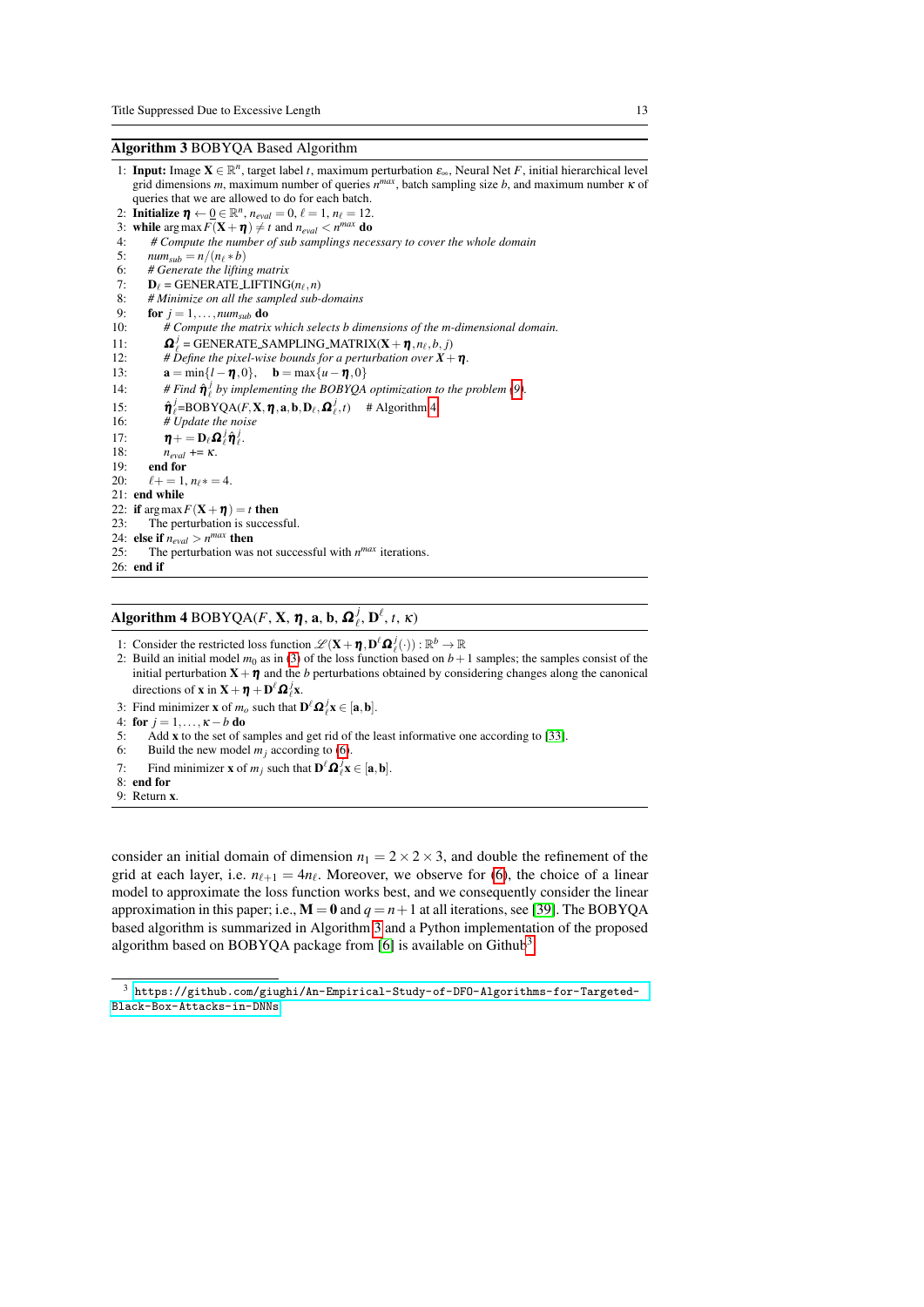# <span id="page-12-1"></span>Algorithm 3 BOBYQA Based Algorithm

- 1: **Input:** Image  $X \in \mathbb{R}^n$ , target label *t*, maximum perturbation  $\varepsilon_{\infty}$ , Neural Net *F*, initial hierarchical level grid dimensions *m*, maximum number of queries  $n^{max}$ , batch sampling size *b*, and maximum number  $\kappa$  of queries that we are allowed to do for each batch.
- 2: **Initialize**  $\eta \leftarrow 0 \in \mathbb{R}^n$ ,  $n_{eval} = 0$ ,  $\ell = 1$ ,  $n_{\ell} = 12$ .
- 3: while  $\arg \max F(\mathbf{X} + \boldsymbol{\eta}) \neq t$  and  $n_{eval} < n^{max}$  do
- 4: *# Compute the number of sub samplings necessary to cover the whole domain*
- 5:  $num_{sub} = n/(n_{\ell} * b)$ <br>6: # Generate the liftin
- 6: *# Generate the lifting matrix*<br>7:  $\mathbf{D}_e = \text{GENER} \ \text{ATE}$  LIFTING
- 7:  $\mathbf{D}_{\ell} = \text{GENERALE\_LIFTING}(n_{\ell}, n)$
- 8: *# Minimize on all the sampled sub-domains*<br>9: **for**  $j = 1, ..., num_{sub}$  **do**
- 9: **for**  $j = 1, ..., num_{sub}$  **do**<br>10: # Compute the matrix
- 10: *# Compute the matrix which selects b dimensions of the m-dimensional domain.*
- 11:<br>12:  $j_e^j$  = GENERATE\_SAMPLING\_MATRIX(**X** +  $\boldsymbol{\eta}$ , $n_\ell$ , $b$ , $j$ )
- $\mu$ <sup>*t*</sup> *befine the pixel-wise bounds for a perturbation over*  $X + \eta$ *.*
- 13:  $\mathbf{a} = \min\{l \mathbf{\eta}, 0\}, \quad \mathbf{b} = \max\{u \mathbf{\eta}, 0\}$ <br>14: # Find  $\mathbf{\hat{n}}^j$  by implementing the BOBYOA
- 14: # Find  $\hat{\eta}_{\ell}^{j}$  by implementing the BOBYQA optimization to the problem [\(9\)](#page-10-1).
- $15: 16:$  $\frac{J}{\ell}$ =BOBYQA(*F*,**X**, **η**, **a**, **b**, **D**<sub> $\ell$ </sub>,  $\Omega$ <sup>*j*</sup><sub> $\ell$ </sub>, *t*) # Algorithm [4](#page-12-0)
- 16: *# Update the noise*
- 17:  $\boldsymbol{\eta} + \mathbf{D}_{\ell} \boldsymbol{\Omega}_{\ell}^j \hat{\boldsymbol{\eta}}_{\ell}^j$ .
- 18:  $n_{eval}$  += *κ*.<br>19: end for
- 19: **end for**<br>20:  $\ell + = 1$
- $\ell + = 1$ ,  $n_{\ell} * = 4$ .
- 21: end while
- 22: if  $\arg \max F(\mathbf{X} + \boldsymbol{\eta}) = t$  then
- 23: The perturbation is successful.
- 24: else if  $n_{eval} > n^{max}$  then
- 25: The perturbation was not successful with  $n^{max}$  iterations. 26: end if

<span id="page-12-0"></span>Algorithm 4 BOBYQA(*F*, **X**,  $\boldsymbol{\eta}$ , **a**, **b**,  $\boldsymbol{\Omega}_{\ell}^{j}$ , **D**<sup> $\ell$ </sup>, *t*, *K*)

- 1: Consider the restricted loss function  $\mathscr{L}(\mathbf{X} + \boldsymbol{\eta}, \mathbf{D}^{\ell} \boldsymbol{\Omega}^j_{\ell}(\cdot)) : \mathbb{R}^b \to \mathbb{R}$
- 2: Build an initial model  $m_0$  as in [\(3\)](#page-5-0) of the loss function based on  $b+1$  samples; the samples consist of the initial perturbation  $X+\eta$  and the *b* perturbations obtained by considering changes along the canonical directions of **x** in **X** + **η** + **D**<sup> $\ell$ </sup>**Ω**<sub> $\ell$ </sub>**x**.
- 3: Find minimizer **x** of  $m_o$  such that  $\mathbf{D}^{\ell} \mathbf{\Omega}^j_{\ell} \mathbf{x} \in [\mathbf{a}, \mathbf{b}].$
- 4: for  $j = 1, ..., \kappa b$  do<br>5: Add **x** to the set of s
- Add  $x$  to the set of samples and get rid of the least informative one according to [\[33\]](#page-20-5).
- 6: Build the new model  $m_j$  according to [\(6\)](#page-5-1).
- 7: Find minimizer **x** of  $m_j$  such that  $\mathbf{D}^{\ell} \mathbf{\Omega}^j_{\ell} \mathbf{x} \in [\mathbf{a}, \mathbf{b}].$
- 8: end for
- 9: Return x.

consider an initial domain of dimension  $n_1 = 2 \times 2 \times 3$ , and double the refinement of the grid at each layer, i.e.  $n_{\ell+1} = 4n_{\ell}$ . Moreover, we observe for [\(6\)](#page-5-1), the choice of a linear model to approximate the loss function works best, and we consequently consider the linear approximation in this paper; i.e.,  $M = 0$  and  $q = n + 1$  at all iterations, see [\[39\]](#page-20-4). The BOBYOA based algorithm is summarized in Algorithm [3](#page-12-1) and a Python implementation of the proposed algorithm based on BOBYQA package from [\[6\]](#page-18-13) is available on Github<sup>[3](#page-12-2)</sup>.

<span id="page-12-2"></span> $^3$ [https://github.com/giughi/An-Empirical-Study-of-DFO-Algorithms-for-Targeted-](https://github.com/giughi/An-Empirical-Study-of-DFO-Algorithms-for-Targeted-Black-Box-Attacks-in-DNNs)[Black-Box-Attacks-in-DNNs](https://github.com/giughi/An-Empirical-Study-of-DFO-Algorithms-for-Targeted-Black-Box-Attacks-in-DNNs)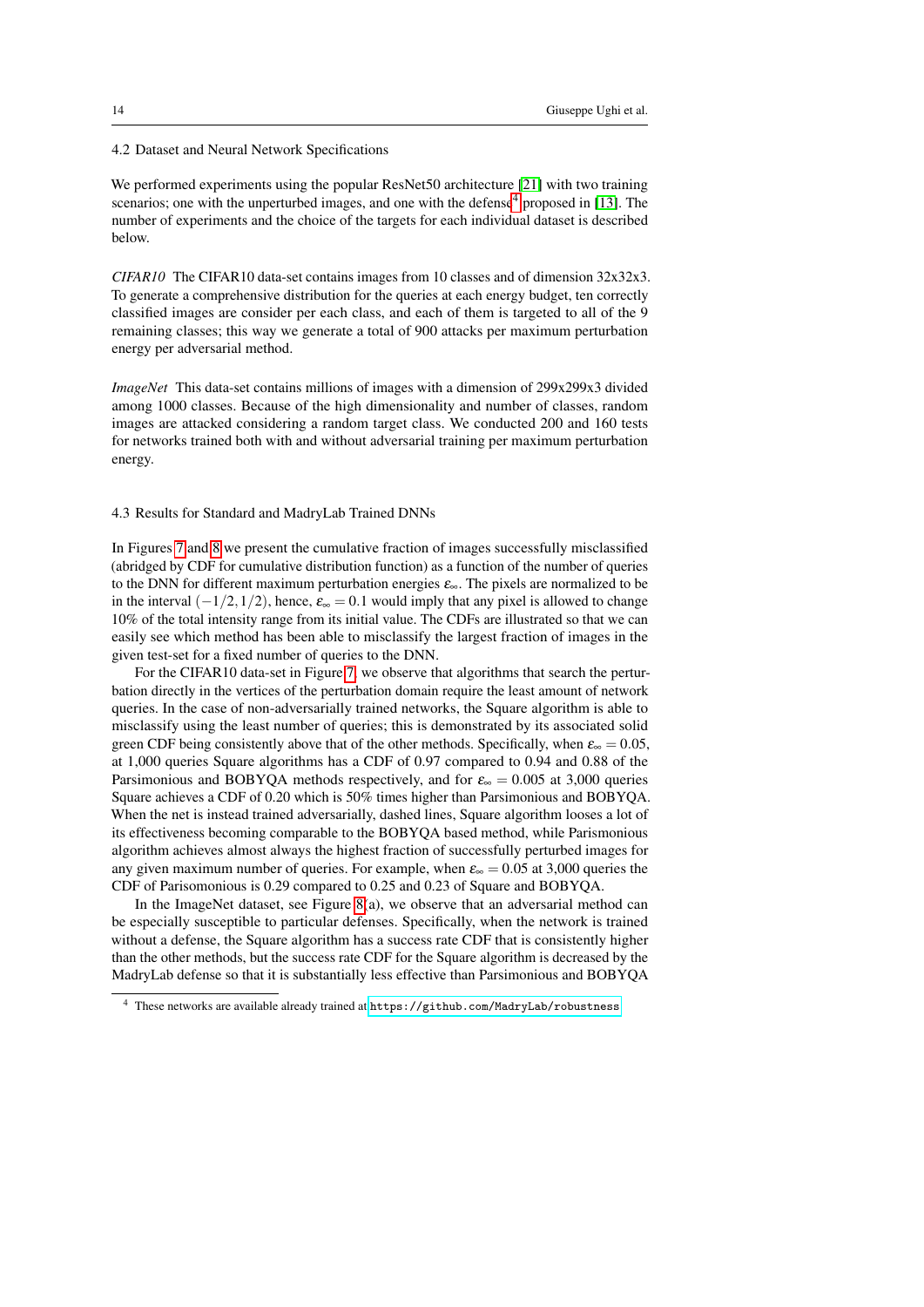### 4.2 Dataset and Neural Network Specifications

We performed experiments using the popular ResNet50 architecture [\[21\]](#page-19-14) with two training scenarios; one with the unperturbed images, and one with the defense<sup>[4](#page-13-1)</sup> proposed in [\[13\]](#page-18-10). The number of experiments and the choice of the targets for each individual dataset is described below.

*CIFAR10* The CIFAR10 data-set contains images from 10 classes and of dimension 32x32x3. To generate a comprehensive distribution for the queries at each energy budget, ten correctly classified images are consider per each class, and each of them is targeted to all of the 9 remaining classes; this way we generate a total of 900 attacks per maximum perturbation energy per adversarial method.

*ImageNet* This data-set contains millions of images with a dimension of 299x299x3 divided among 1000 classes. Because of the high dimensionality and number of classes, random images are attacked considering a random target class. We conducted 200 and 160 tests for networks trained both with and without adversarial training per maximum perturbation energy.

#### <span id="page-13-0"></span>4.3 Results for Standard and MadryLab Trained DNNs

In Figures [7](#page-14-0) and [8](#page-15-0) we present the cumulative fraction of images successfully misclassified (abridged by CDF for cumulative distribution function) as a function of the number of queries to the DNN for different maximum perturbation energies  $\varepsilon_{\infty}$ . The pixels are normalized to be in the interval  $(-1/2,1/2)$ , hence,  $\varepsilon_{\infty} = 0.1$  would imply that any pixel is allowed to change 10% of the total intensity range from its initial value. The CDFs are illustrated so that we can easily see which method has been able to misclassify the largest fraction of images in the given test-set for a fixed number of queries to the DNN.

For the CIFAR10 data-set in Figure [7,](#page-14-0) we observe that algorithms that search the perturbation directly in the vertices of the perturbation domain require the least amount of network queries. In the case of non-adversarially trained networks, the Square algorithm is able to misclassify using the least number of queries; this is demonstrated by its associated solid green CDF being consistently above that of the other methods. Specifically, when  $\varepsilon_{\infty} = 0.05$ , at 1,000 queries Square algorithms has a CDF of 0.97 compared to 0.94 and 0.88 of the Parsimonious and BOBYOA methods respectively, and for  $\varepsilon_{\infty} = 0.005$  at 3,000 queries Square achieves a CDF of 0.20 which is 50% times higher than Parsimonious and BOBYQA. When the net is instead trained adversarially, dashed lines, Square algorithm looses a lot of its effectiveness becoming comparable to the BOBYQA based method, while Parismonious algorithm achieves almost always the highest fraction of successfully perturbed images for any given maximum number of queries. For example, when  $\varepsilon_{\infty} = 0.05$  at 3,000 queries the CDF of Parisomonious is 0.29 compared to 0.25 and 0.23 of Square and BOBYQA.

In the ImageNet dataset, see Figure [8\(](#page-15-0)a), we observe that an adversarial method can be especially susceptible to particular defenses. Specifically, when the network is trained without a defense, the Square algorithm has a success rate CDF that is consistently higher than the other methods, but the success rate CDF for the Square algorithm is decreased by the MadryLab defense so that it is substantially less effective than Parsimonious and BOBYQA

<span id="page-13-1"></span><sup>4</sup> These networks are available already trained at <https://github.com/MadryLab/robustness>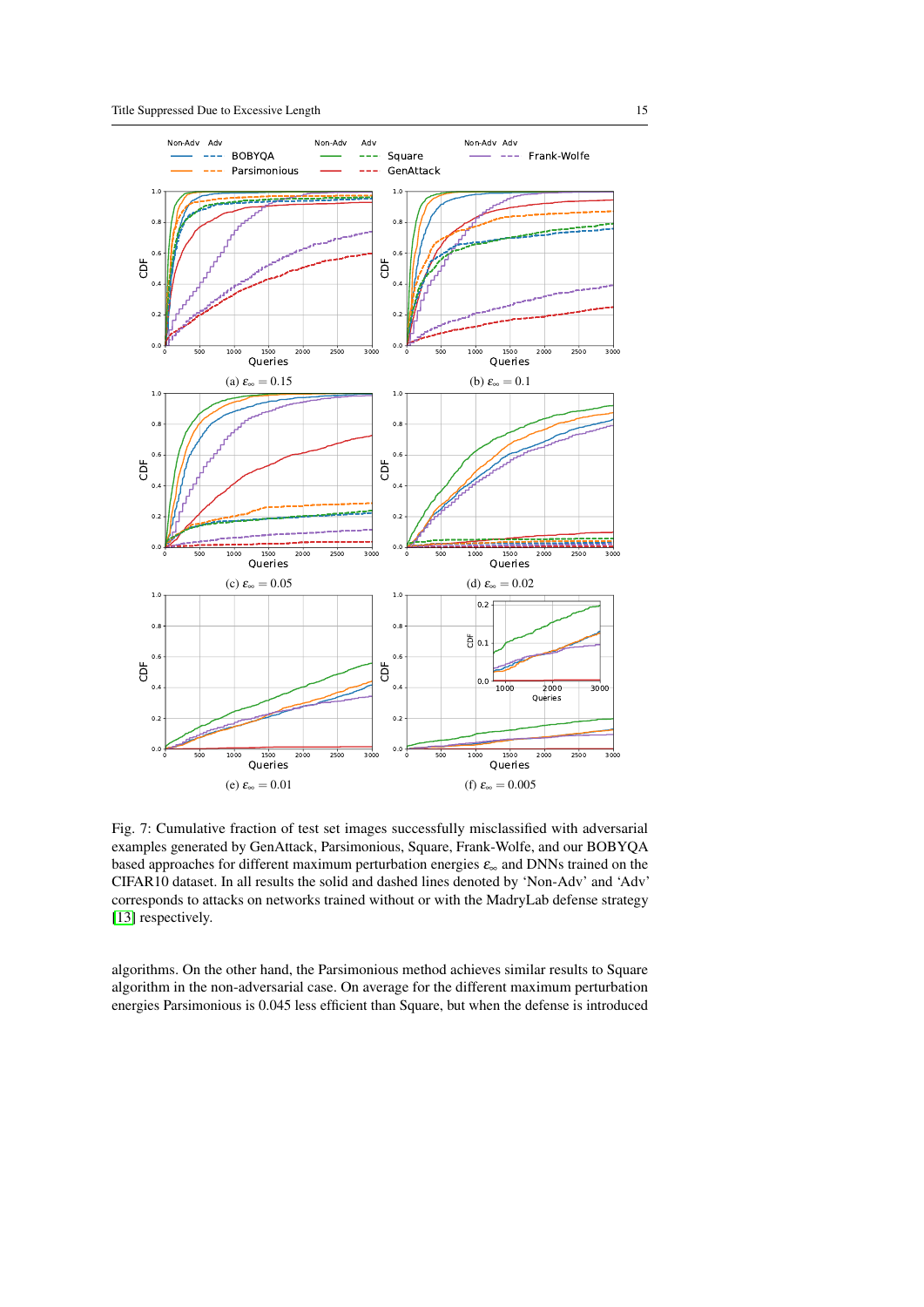<span id="page-14-0"></span>

Fig. 7: Cumulative fraction of test set images successfully misclassified with adversarial examples generated by GenAttack, Parsimonious, Square, Frank-Wolfe, and our BOBYQA based approaches for different maximum perturbation energies  $\varepsilon_{\infty}$  and DNNs trained on the CIFAR10 dataset. In all results the solid and dashed lines denoted by 'Non-Adv' and 'Adv' corresponds to attacks on networks trained without or with the MadryLab defense strategy [\[13\]](#page-18-10) respectively.

algorithms. On the other hand, the Parsimonious method achieves similar results to Square algorithm in the non-adversarial case. On average for the different maximum perturbation energies Parsimonious is 0.045 less efficient than Square, but when the defense is introduced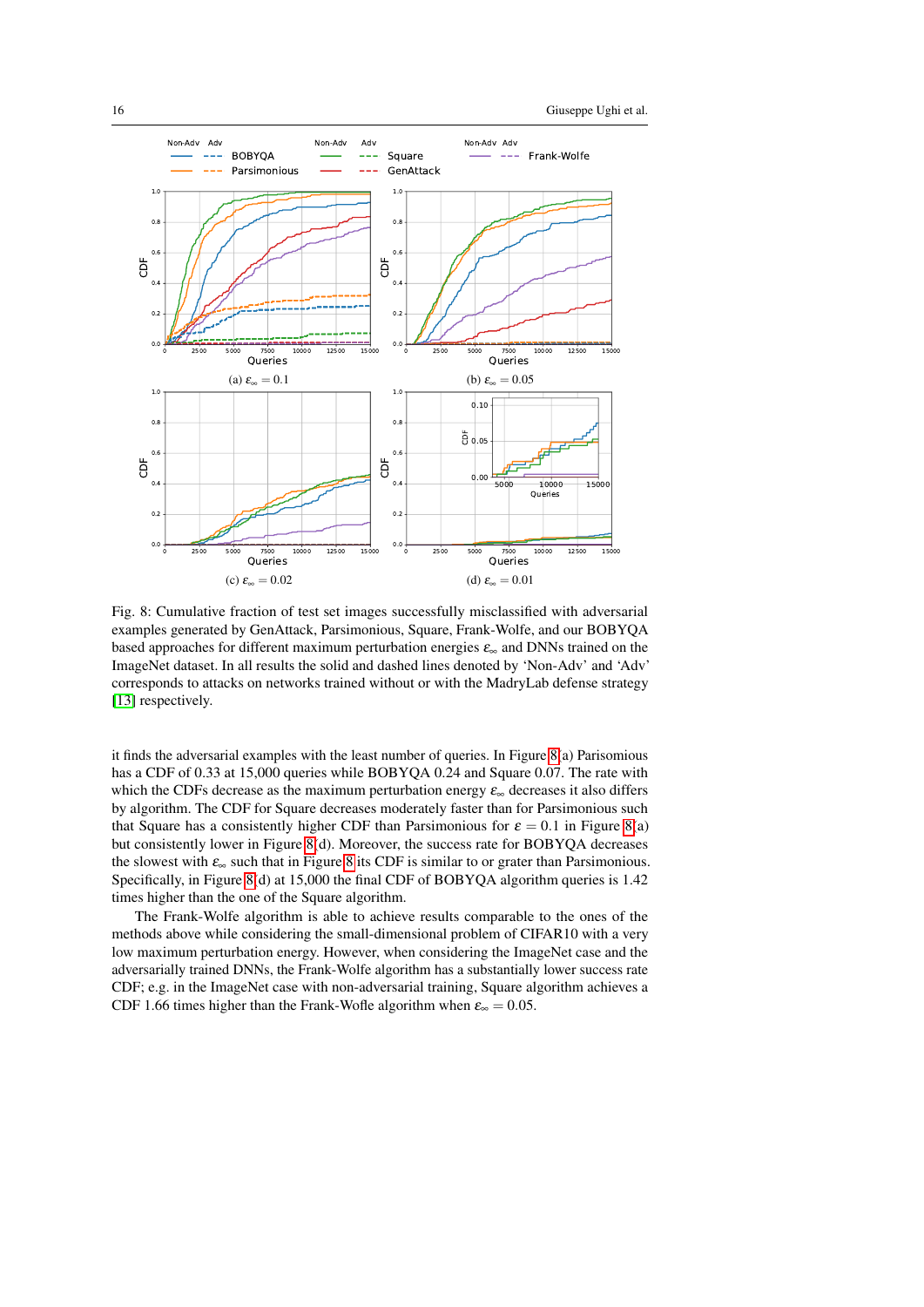<span id="page-15-0"></span>

Fig. 8: Cumulative fraction of test set images successfully misclassified with adversarial examples generated by GenAttack, Parsimonious, Square, Frank-Wolfe, and our BOBYQA based approaches for different maximum perturbation energies  $\varepsilon_{\infty}$  and DNNs trained on the ImageNet dataset. In all results the solid and dashed lines denoted by 'Non-Adv' and 'Adv' corresponds to attacks on networks trained without or with the MadryLab defense strategy [\[13\]](#page-18-10) respectively.

it finds the adversarial examples with the least number of queries. In Figure [8\(](#page-15-0)a) Parisomious has a CDF of 0.33 at 15,000 queries while BOBYQA 0.24 and Square 0.07. The rate with which the CDFs decrease as the maximum perturbation energy  $\varepsilon_{\infty}$  decreases it also differs by algorithm. The CDF for Square decreases moderately faster than for Parsimonious such that Square has a consistently higher CDF than Parsimonious for  $\varepsilon = 0.1$  in Figure [8\(](#page-15-0)a) but consistently lower in Figure [8\(](#page-15-0)d). Moreover, the success rate for BOBYQA decreases the slowest with  $\varepsilon_{\infty}$  such that in Figure [8](#page-15-0) its CDF is similar to or grater than Parsimonious. Specifically, in Figure [8\(](#page-15-0)d) at 15,000 the final CDF of BOBYQA algorithm queries is 1.42 times higher than the one of the Square algorithm.

The Frank-Wolfe algorithm is able to achieve results comparable to the ones of the methods above while considering the small-dimensional problem of CIFAR10 with a very low maximum perturbation energy. However, when considering the ImageNet case and the adversarially trained DNNs, the Frank-Wolfe algorithm has a substantially lower success rate CDF; e.g. in the ImageNet case with non-adversarial training, Square algorithm achieves a CDF 1.66 times higher than the Frank-Wofle algorithm when  $\varepsilon_{\infty} = 0.05$ .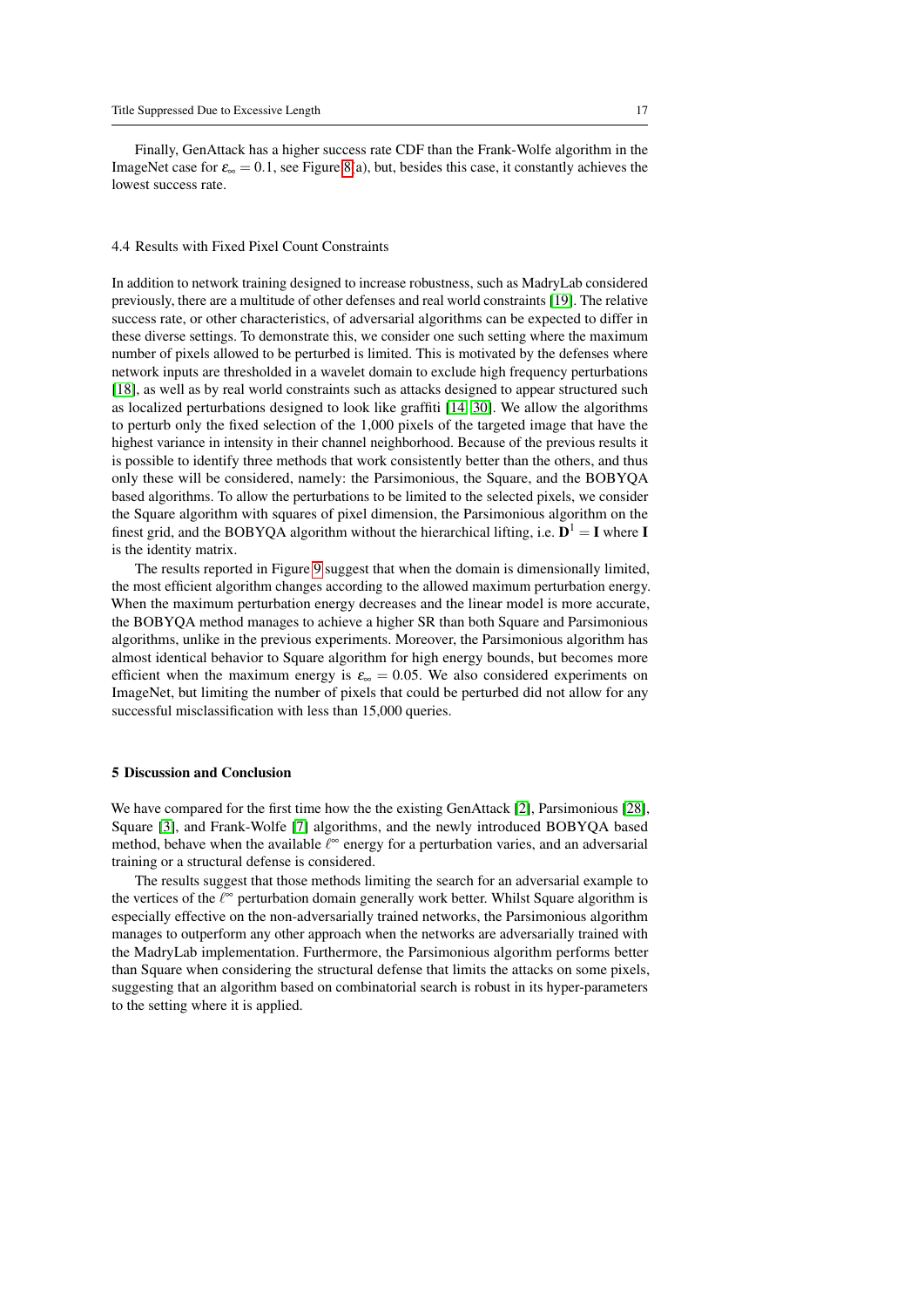Finally, GenAttack has a higher success rate CDF than the Frank-Wolfe algorithm in the ImageNet case for  $\varepsilon_{\infty} = 0.1$ , see Figure [8\(](#page-15-0)a), but, besides this case, it constantly achieves the lowest success rate.

### <span id="page-16-1"></span>4.4 Results with Fixed Pixel Count Constraints

In addition to network training designed to increase robustness, such as MadryLab considered previously, there are a multitude of other defenses and real world constraints [\[19\]](#page-19-15). The relative success rate, or other characteristics, of adversarial algorithms can be expected to differ in these diverse settings. To demonstrate this, we consider one such setting where the maximum number of pixels allowed to be perturbed is limited. This is motivated by the defenses where network inputs are thresholded in a wavelet domain to exclude high frequency perturbations [\[18\]](#page-19-10), as well as by real world constraints such as attacks designed to appear structured such as localized perturbations designed to look like graffiti [\[14,](#page-18-2) [30\]](#page-19-16). We allow the algorithms to perturb only the fixed selection of the 1,000 pixels of the targeted image that have the highest variance in intensity in their channel neighborhood. Because of the previous results it is possible to identify three methods that work consistently better than the others, and thus only these will be considered, namely: the Parsimonious, the Square, and the BOBYQA based algorithms. To allow the perturbations to be limited to the selected pixels, we consider the Square algorithm with squares of pixel dimension, the Parsimonious algorithm on the finest grid, and the BOBYQA algorithm without the hierarchical lifting, i.e.  $D^1 = I$  where I is the identity matrix.

The results reported in Figure [9](#page-17-0) suggest that when the domain is dimensionally limited, the most efficient algorithm changes according to the allowed maximum perturbation energy. When the maximum perturbation energy decreases and the linear model is more accurate, the BOBYQA method manages to achieve a higher SR than both Square and Parsimonious algorithms, unlike in the previous experiments. Moreover, the Parsimonious algorithm has almost identical behavior to Square algorithm for high energy bounds, but becomes more efficient when the maximum energy is  $\varepsilon_{\infty} = 0.05$ . We also considered experiments on ImageNet, but limiting the number of pixels that could be perturbed did not allow for any successful misclassification with less than 15,000 queries.

# <span id="page-16-0"></span>5 Discussion and Conclusion

We have compared for the first time how the the existing GenAttack [\[2\]](#page-18-5), Parsimonious [\[28\]](#page-19-8), Square [\[3\]](#page-18-8), and Frank-Wolfe [\[7\]](#page-18-9) algorithms, and the newly introduced BOBYQA based method, behave when the available  $\ell^{\infty}$  energy for a perturbation varies, and an adversarial training or a structural defense is considered.

The results suggest that those methods limiting the search for an adversarial example to the vertices of the  $\ell^{\infty}$  perturbation domain generally work better. Whilst Square algorithm is especially effective on the non-adversarially trained networks, the Parsimonious algorithm manages to outperform any other approach when the networks are adversarially trained with the MadryLab implementation. Furthermore, the Parsimonious algorithm performs better than Square when considering the structural defense that limits the attacks on some pixels, suggesting that an algorithm based on combinatorial search is robust in its hyper-parameters to the setting where it is applied.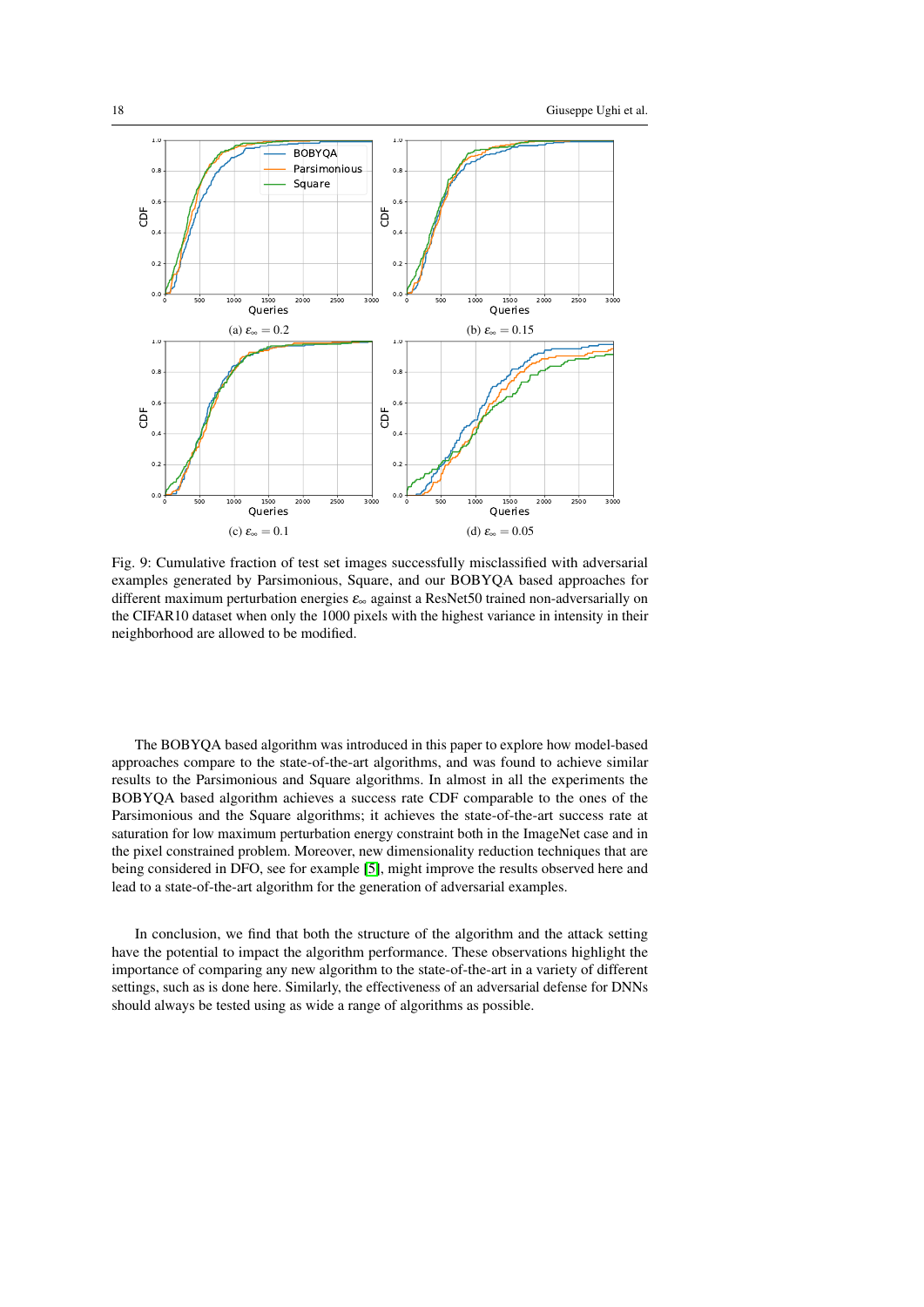<span id="page-17-0"></span>

Fig. 9: Cumulative fraction of test set images successfully misclassified with adversarial examples generated by Parsimonious, Square, and our BOBYQA based approaches for different maximum perturbation energies ε<sup>∞</sup> against a ResNet50 trained non-adversarially on the CIFAR10 dataset when only the 1000 pixels with the highest variance in intensity in their neighborhood are allowed to be modified.

The BOBYQA based algorithm was introduced in this paper to explore how model-based approaches compare to the state-of-the-art algorithms, and was found to achieve similar results to the Parsimonious and Square algorithms. In almost in all the experiments the BOBYQA based algorithm achieves a success rate CDF comparable to the ones of the Parsimonious and the Square algorithms; it achieves the state-of-the-art success rate at saturation for low maximum perturbation energy constraint both in the ImageNet case and in the pixel constrained problem. Moreover, new dimensionality reduction techniques that are being considered in DFO, see for example [\[5\]](#page-18-14), might improve the results observed here and lead to a state-of-the-art algorithm for the generation of adversarial examples.

In conclusion, we find that both the structure of the algorithm and the attack setting have the potential to impact the algorithm performance. These observations highlight the importance of comparing any new algorithm to the state-of-the-art in a variety of different settings, such as is done here. Similarly, the effectiveness of an adversarial defense for DNNs should always be tested using as wide a range of algorithms as possible.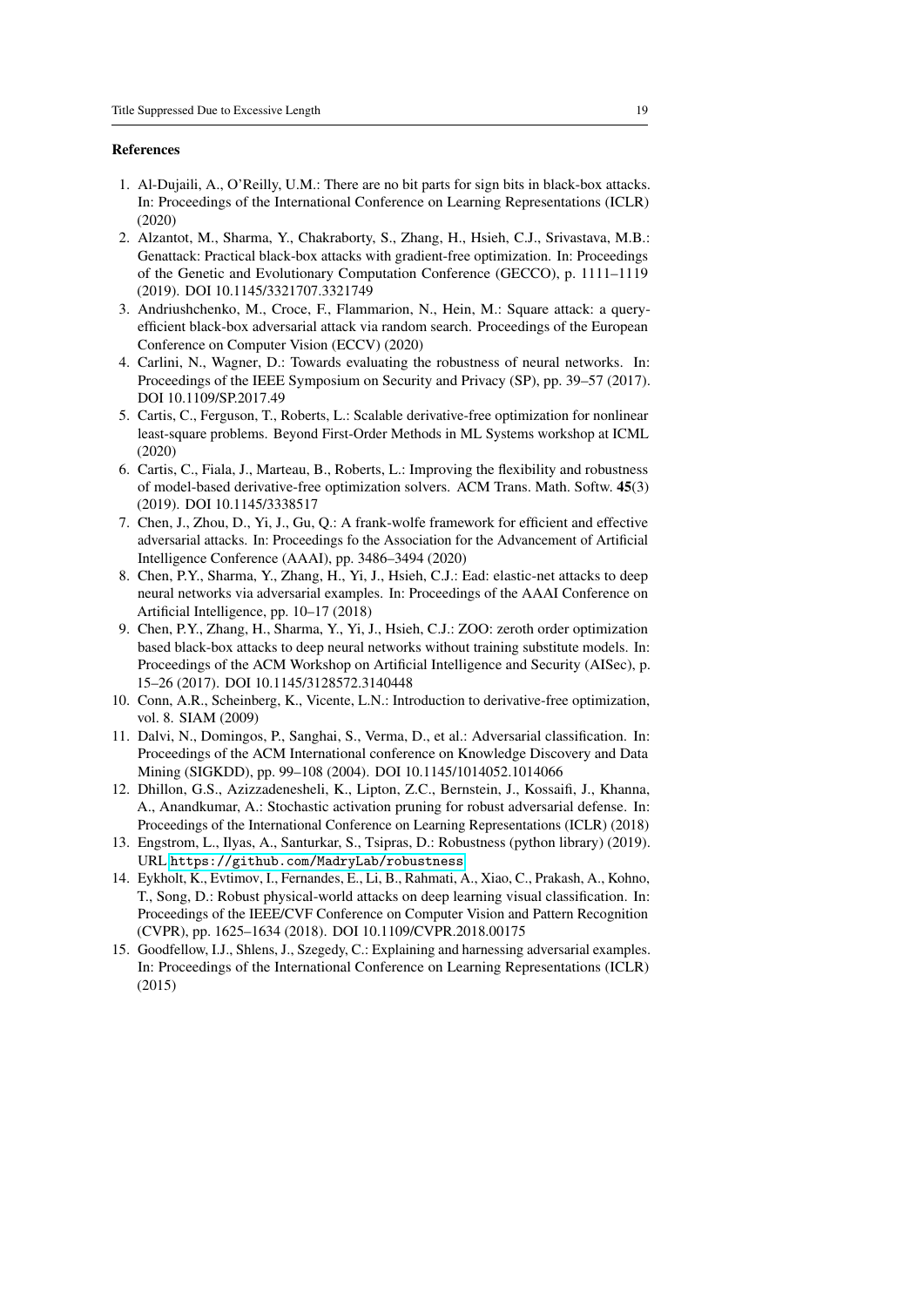#### References

- <span id="page-18-7"></span>1. Al-Dujaili, A., O'Reilly, U.M.: There are no bit parts for sign bits in black-box attacks. In: Proceedings of the International Conference on Learning Representations (ICLR) (2020)
- <span id="page-18-5"></span>2. Alzantot, M., Sharma, Y., Chakraborty, S., Zhang, H., Hsieh, C.J., Srivastava, M.B.: Genattack: Practical black-box attacks with gradient-free optimization. In: Proceedings of the Genetic and Evolutionary Computation Conference (GECCO), p. 1111–1119 (2019). DOI 10.1145/3321707.3321749
- <span id="page-18-8"></span>3. Andriushchenko, M., Croce, F., Flammarion, N., Hein, M.: Square attack: a queryefficient black-box adversarial attack via random search. Proceedings of the European Conference on Computer Vision (ECCV) (2020)
- <span id="page-18-3"></span>4. Carlini, N., Wagner, D.: Towards evaluating the robustness of neural networks. In: Proceedings of the IEEE Symposium on Security and Privacy (SP), pp. 39–57 (2017). DOI 10.1109/SP.2017.49
- <span id="page-18-14"></span>5. Cartis, C., Ferguson, T., Roberts, L.: Scalable derivative-free optimization for nonlinear least-square problems. Beyond First-Order Methods in ML Systems workshop at ICML (2020)
- <span id="page-18-13"></span>6. Cartis, C., Fiala, J., Marteau, B., Roberts, L.: Improving the flexibility and robustness of model-based derivative-free optimization solvers. ACM Trans. Math. Softw. 45(3) (2019). DOI 10.1145/3338517
- <span id="page-18-9"></span>7. Chen, J., Zhou, D., Yi, J., Gu, Q.: A frank-wolfe framework for efficient and effective adversarial attacks. In: Proceedings fo the Association for the Advancement of Artificial Intelligence Conference (AAAI), pp. 3486–3494 (2020)
- <span id="page-18-4"></span>8. Chen, P.Y., Sharma, Y., Zhang, H., Yi, J., Hsieh, C.J.: Ead: elastic-net attacks to deep neural networks via adversarial examples. In: Proceedings of the AAAI Conference on Artificial Intelligence, pp. 10–17 (2018)
- <span id="page-18-6"></span>9. Chen, P.Y., Zhang, H., Sharma, Y., Yi, J., Hsieh, C.J.: ZOO: zeroth order optimization based black-box attacks to deep neural networks without training substitute models. In: Proceedings of the ACM Workshop on Artificial Intelligence and Security (AISec), p. 15–26 (2017). DOI 10.1145/3128572.3140448
- <span id="page-18-11"></span>10. Conn, A.R., Scheinberg, K., Vicente, L.N.: Introduction to derivative-free optimization, vol. 8. SIAM (2009)
- <span id="page-18-1"></span>11. Dalvi, N., Domingos, P., Sanghai, S., Verma, D., et al.: Adversarial classification. In: Proceedings of the ACM International conference on Knowledge Discovery and Data Mining (SIGKDD), pp. 99–108 (2004). DOI 10.1145/1014052.1014066
- <span id="page-18-12"></span>12. Dhillon, G.S., Azizzadenesheli, K., Lipton, Z.C., Bernstein, J., Kossaifi, J., Khanna, A., Anandkumar, A.: Stochastic activation pruning for robust adversarial defense. In: Proceedings of the International Conference on Learning Representations (ICLR) (2018)
- <span id="page-18-10"></span>13. Engstrom, L., Ilyas, A., Santurkar, S., Tsipras, D.: Robustness (python library) (2019). URL <https://github.com/MadryLab/robustness>
- <span id="page-18-2"></span>14. Eykholt, K., Evtimov, I., Fernandes, E., Li, B., Rahmati, A., Xiao, C., Prakash, A., Kohno, T., Song, D.: Robust physical-world attacks on deep learning visual classification. In: Proceedings of the IEEE/CVF Conference on Computer Vision and Pattern Recognition (CVPR), pp. 1625–1634 (2018). DOI 10.1109/CVPR.2018.00175
- <span id="page-18-0"></span>15. Goodfellow, I.J., Shlens, J., Szegedy, C.: Explaining and harnessing adversarial examples. In: Proceedings of the International Conference on Learning Representations (ICLR) (2015)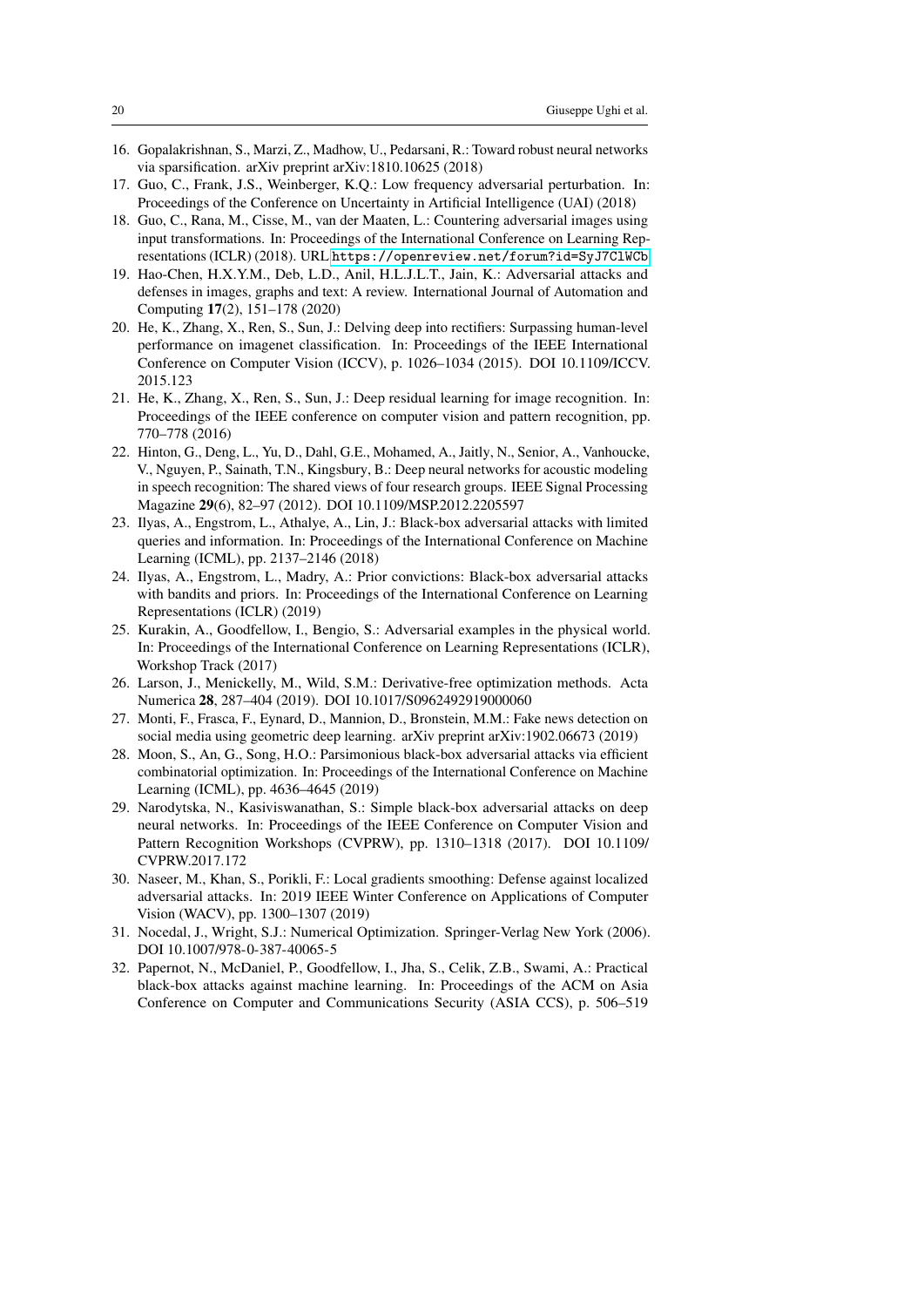- <span id="page-19-12"></span>16. Gopalakrishnan, S., Marzi, Z., Madhow, U., Pedarsani, R.: Toward robust neural networks via sparsification. arXiv preprint arXiv:1810.10625 (2018)
- <span id="page-19-13"></span>17. Guo, C., Frank, J.S., Weinberger, K.Q.: Low frequency adversarial perturbation. In: Proceedings of the Conference on Uncertainty in Artificial Intelligence (UAI) (2018)
- <span id="page-19-10"></span>18. Guo, C., Rana, M., Cisse, M., van der Maaten, L.: Countering adversarial images using input transformations. In: Proceedings of the International Conference on Learning Representations (ICLR) (2018). URL <https://openreview.net/forum?id=SyJ7ClWCb>
- <span id="page-19-15"></span>19. Hao-Chen, H.X.Y.M., Deb, L.D., Anil, H.L.J.L.T., Jain, K.: Adversarial attacks and defenses in images, graphs and text: A review. International Journal of Automation and Computing 17(2), 151–178 (2020)
- <span id="page-19-1"></span>20. He, K., Zhang, X., Ren, S., Sun, J.: Delving deep into rectifiers: Surpassing human-level performance on imagenet classification. In: Proceedings of the IEEE International Conference on Computer Vision (ICCV), p. 1026–1034 (2015). DOI 10.1109/ICCV. 2015.123
- <span id="page-19-14"></span>21. He, K., Zhang, X., Ren, S., Sun, J.: Deep residual learning for image recognition. In: Proceedings of the IEEE conference on computer vision and pattern recognition, pp. 770–778 (2016)
- <span id="page-19-0"></span>22. Hinton, G., Deng, L., Yu, D., Dahl, G.E., Mohamed, A., Jaitly, N., Senior, A., Vanhoucke, V., Nguyen, P., Sainath, T.N., Kingsbury, B.: Deep neural networks for acoustic modeling in speech recognition: The shared views of four research groups. IEEE Signal Processing Magazine 29(6), 82–97 (2012). DOI 10.1109/MSP.2012.2205597
- <span id="page-19-4"></span>23. Ilyas, A., Engstrom, L., Athalye, A., Lin, J.: Black-box adversarial attacks with limited queries and information. In: Proceedings of the International Conference on Machine Learning (ICML), pp. 2137–2146 (2018)
- <span id="page-19-7"></span>24. Ilyas, A., Engstrom, L., Madry, A.: Prior convictions: Black-box adversarial attacks with bandits and priors. In: Proceedings of the International Conference on Learning Representations (ICLR) (2019)
- <span id="page-19-3"></span>25. Kurakin, A., Goodfellow, I., Bengio, S.: Adversarial examples in the physical world. In: Proceedings of the International Conference on Learning Representations (ICLR), Workshop Track (2017)
- <span id="page-19-9"></span>26. Larson, J., Menickelly, M., Wild, S.M.: Derivative-free optimization methods. Acta Numerica 28, 287–404 (2019). DOI 10.1017/S0962492919000060
- <span id="page-19-2"></span>27. Monti, F., Frasca, F., Eynard, D., Mannion, D., Bronstein, M.M.: Fake news detection on social media using geometric deep learning. arXiv preprint arXiv:1902.06673 (2019)
- <span id="page-19-8"></span>28. Moon, S., An, G., Song, H.O.: Parsimonious black-box adversarial attacks via efficient combinatorial optimization. In: Proceedings of the International Conference on Machine Learning (ICML), pp. 4636–4645 (2019)
- <span id="page-19-5"></span>29. Narodytska, N., Kasiviswanathan, S.: Simple black-box adversarial attacks on deep neural networks. In: Proceedings of the IEEE Conference on Computer Vision and Pattern Recognition Workshops (CVPRW), pp. 1310–1318 (2017). DOI 10.1109/ CVPRW.2017.172
- <span id="page-19-16"></span>30. Naseer, M., Khan, S., Porikli, F.: Local gradients smoothing: Defense against localized adversarial attacks. In: 2019 IEEE Winter Conference on Applications of Computer Vision (WACV), pp. 1300–1307 (2019)
- <span id="page-19-11"></span>31. Nocedal, J., Wright, S.J.: Numerical Optimization. Springer-Verlag New York (2006). DOI 10.1007/978-0-387-40065-5
- <span id="page-19-6"></span>32. Papernot, N., McDaniel, P., Goodfellow, I., Jha, S., Celik, Z.B., Swami, A.: Practical black-box attacks against machine learning. In: Proceedings of the ACM on Asia Conference on Computer and Communications Security (ASIA CCS), p. 506–519